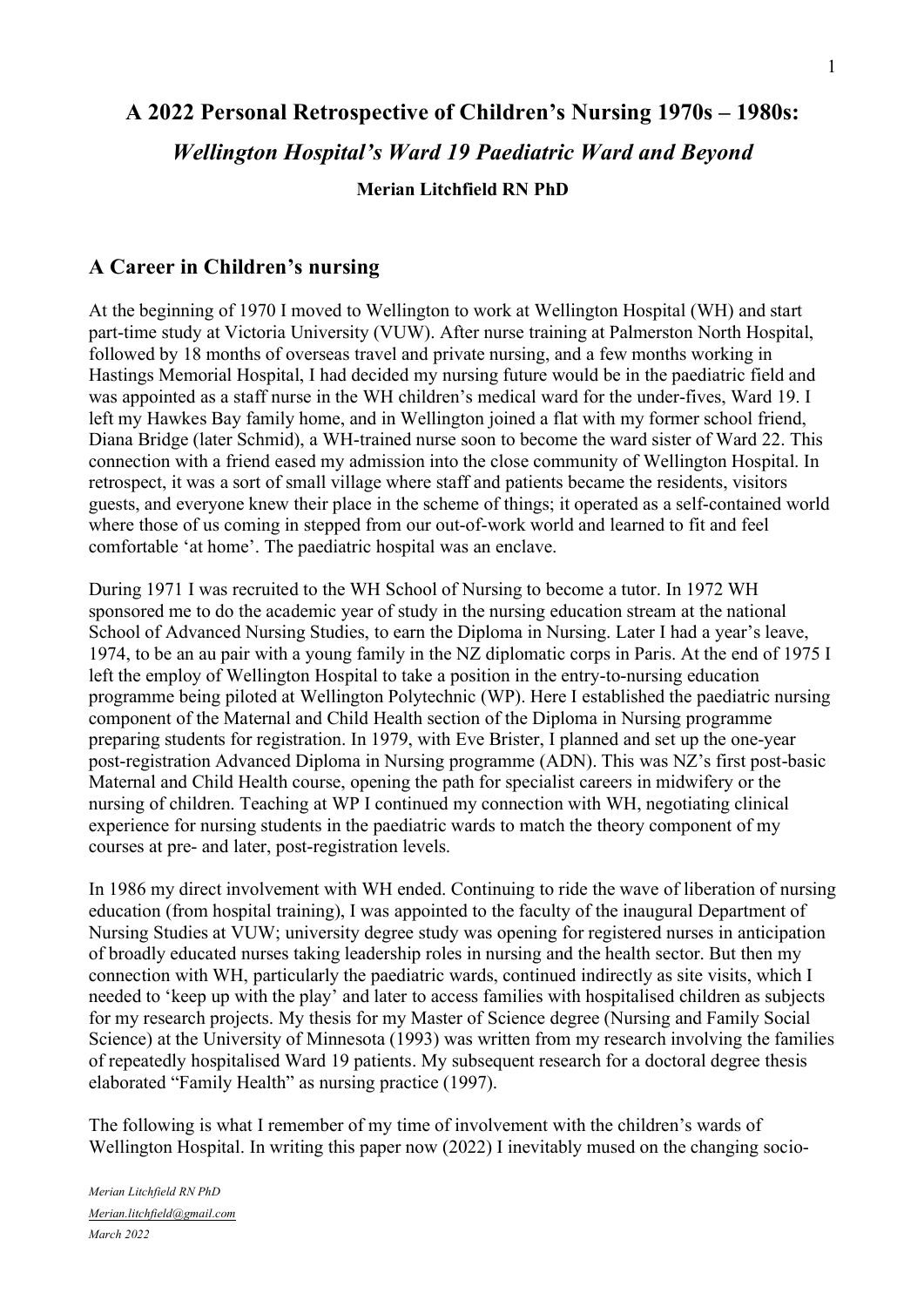# **A 2022 Personal Retrospective of Children's Nursing 1970s – 1980s:** *Wellington Hospital's Ward 19 Paediatric Ward and Beyond* **Merian Litchfield RN PhD**

# **A Career in Children's nursing**

At the beginning of 1970 I moved to Wellington to work at Wellington Hospital (WH) and start part-time study at Victoria University (VUW). After nurse training at Palmerston North Hospital, followed by 18 months of overseas travel and private nursing, and a few months working in Hastings Memorial Hospital, I had decided my nursing future would be in the paediatric field and was appointed as a staff nurse in the WH children's medical ward for the under-fives, Ward 19. I left my Hawkes Bay family home, and in Wellington joined a flat with my former school friend, Diana Bridge (later Schmid), a WH-trained nurse soon to become the ward sister of Ward 22. This connection with a friend eased my admission into the close community of Wellington Hospital. In retrospect, it was a sort of small village where staff and patients became the residents, visitors guests, and everyone knew their place in the scheme of things; it operated as a self-contained world where those of us coming in stepped from our out-of-work world and learned to fit and feel comfortable 'at home'. The paediatric hospital was an enclave.

During 1971 I was recruited to the WH School of Nursing to become a tutor. In 1972 WH sponsored me to do the academic year of study in the nursing education stream at the national School of Advanced Nursing Studies, to earn the Diploma in Nursing. Later I had a year's leave, 1974, to be an au pair with a young family in the NZ diplomatic corps in Paris. At the end of 1975 I left the employ of Wellington Hospital to take a position in the entry-to-nursing education programme being piloted at Wellington Polytechnic (WP). Here I established the paediatric nursing component of the Maternal and Child Health section of the Diploma in Nursing programme preparing students for registration. In 1979, with Eve Brister, I planned and set up the one-year post-registration Advanced Diploma in Nursing programme (ADN). This was NZ's first post-basic Maternal and Child Health course, opening the path for specialist careers in midwifery or the nursing of children. Teaching at WP I continued my connection with WH, negotiating clinical experience for nursing students in the paediatric wards to match the theory component of my courses at pre- and later, post-registration levels.

In 1986 my direct involvement with WH ended. Continuing to ride the wave of liberation of nursing education (from hospital training), I was appointed to the faculty of the inaugural Department of Nursing Studies at VUW; university degree study was opening for registered nurses in anticipation of broadly educated nurses taking leadership roles in nursing and the health sector. But then my connection with WH, particularly the paediatric wards, continued indirectly as site visits, which I needed to 'keep up with the play' and later to access families with hospitalised children as subjects for my research projects. My thesis for my Master of Science degree (Nursing and Family Social Science) at the University of Minnesota (1993) was written from my research involving the families of repeatedly hospitalised Ward 19 patients. My subsequent research for a doctoral degree thesis elaborated "Family Health" as nursing practice (1997).

The following is what I remember of my time of involvement with the children's wards of Wellington Hospital. In writing this paper now (2022) I inevitably mused on the changing socio-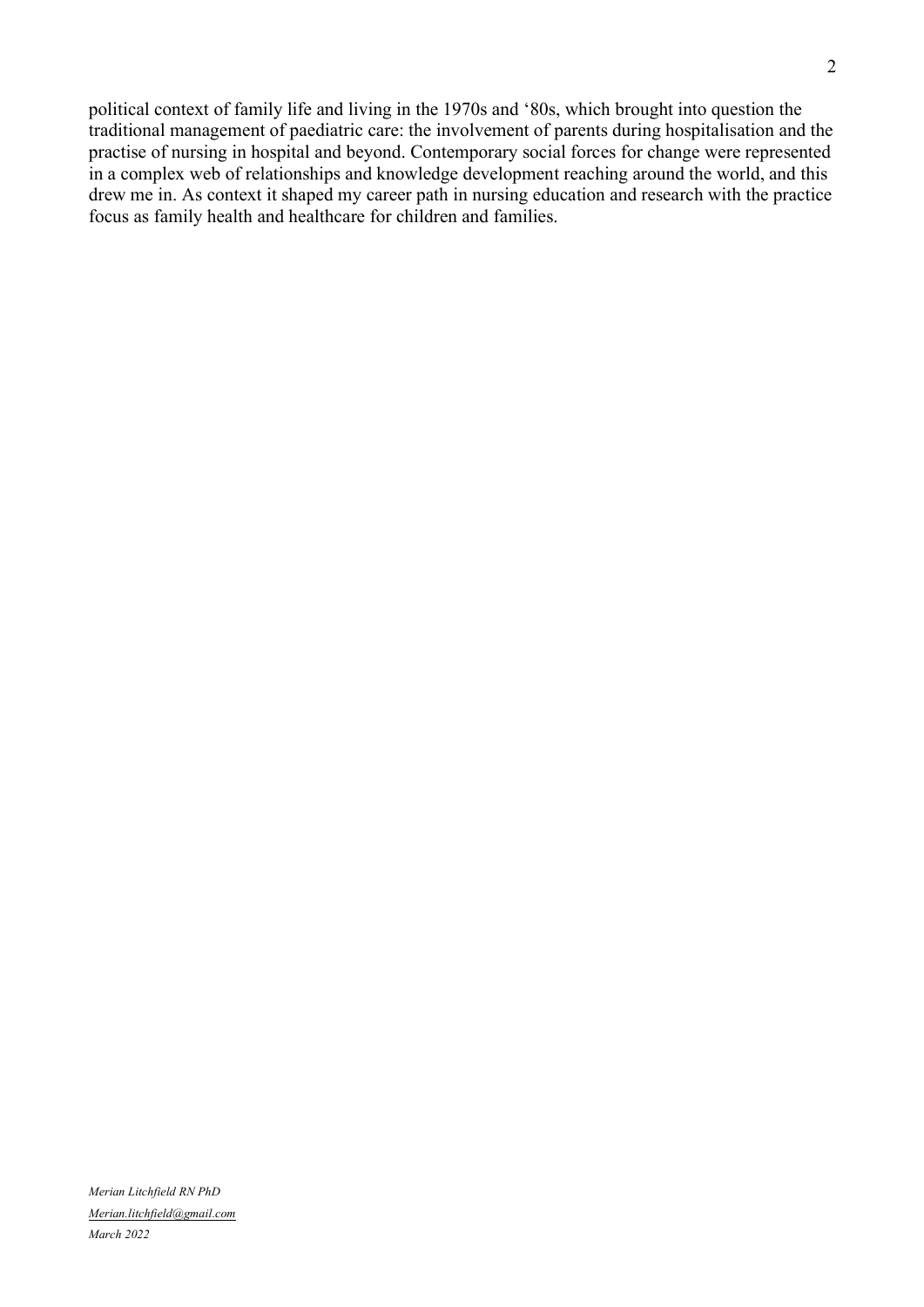political context of family life and living in the 1970s and '80s, which brought into question the traditional management of paediatric care: the involvement of parents during hospitalisation and the practise of nursing in hospital and beyond. Contemporary social forces for change were represented in a complex web of relationships and knowledge development reaching around the world, and this drew me in. As context it shaped my career path in nursing education and research with the practice focus as family health and healthcare for children and families.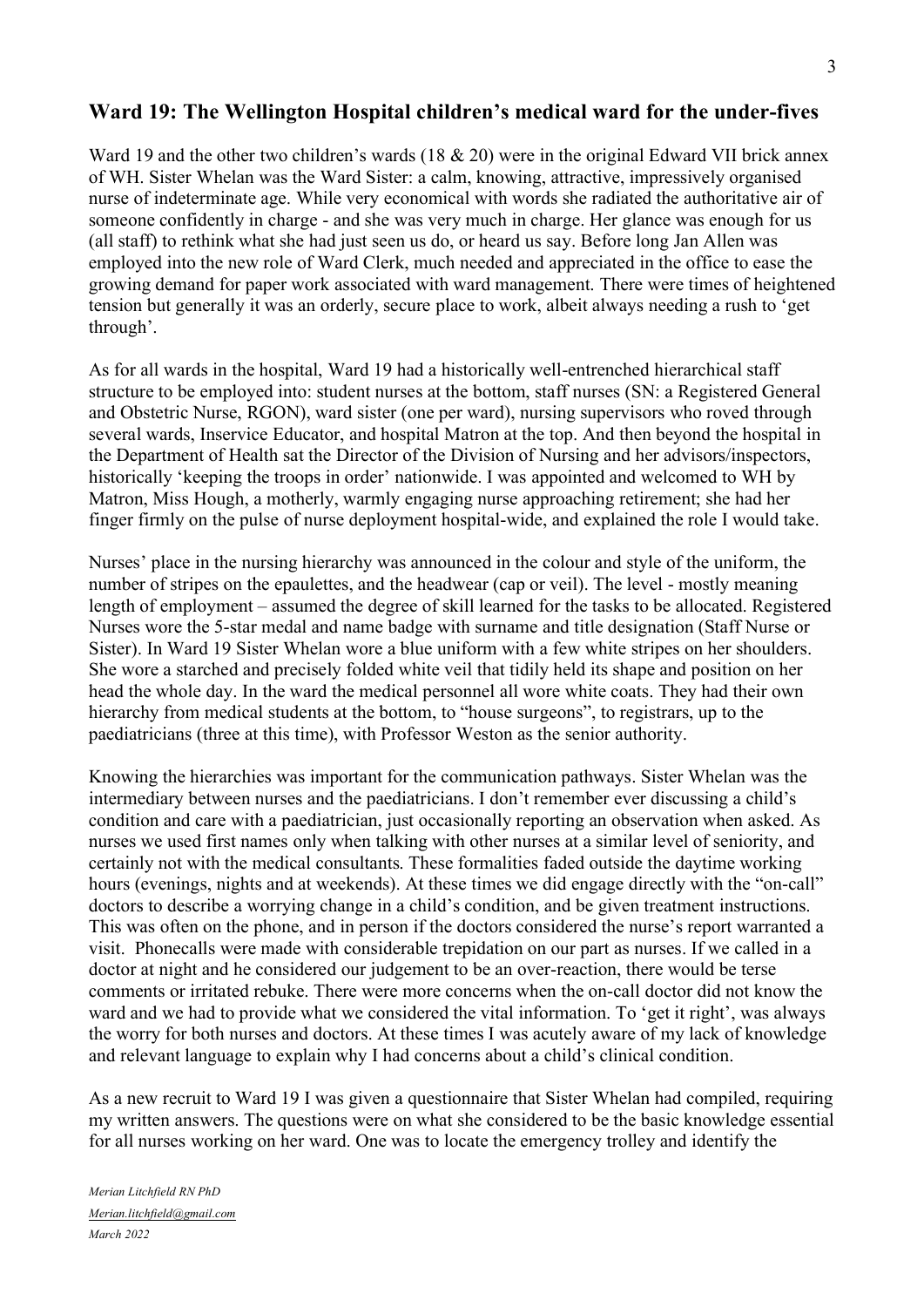# **Ward 19: The Wellington Hospital children's medical ward for the under-fives**

Ward 19 and the other two children's wards  $(18 \& 20)$  were in the original Edward VII brick annex of WH. Sister Whelan was the Ward Sister: a calm, knowing, attractive, impressively organised nurse of indeterminate age. While very economical with words she radiated the authoritative air of someone confidently in charge - and she was very much in charge. Her glance was enough for us (all staff) to rethink what she had just seen us do, or heard us say. Before long Jan Allen was employed into the new role of Ward Clerk, much needed and appreciated in the office to ease the growing demand for paper work associated with ward management. There were times of heightened tension but generally it was an orderly, secure place to work, albeit always needing a rush to 'get through'.

As for all wards in the hospital, Ward 19 had a historically well-entrenched hierarchical staff structure to be employed into: student nurses at the bottom, staff nurses (SN: a Registered General and Obstetric Nurse, RGON), ward sister (one per ward), nursing supervisors who roved through several wards, Inservice Educator, and hospital Matron at the top. And then beyond the hospital in the Department of Health sat the Director of the Division of Nursing and her advisors/inspectors, historically 'keeping the troops in order' nationwide. I was appointed and welcomed to WH by Matron, Miss Hough, a motherly, warmly engaging nurse approaching retirement; she had her finger firmly on the pulse of nurse deployment hospital-wide, and explained the role I would take.

Nurses' place in the nursing hierarchy was announced in the colour and style of the uniform, the number of stripes on the epaulettes, and the headwear (cap or veil). The level - mostly meaning length of employment – assumed the degree of skill learned for the tasks to be allocated. Registered Nurses wore the 5-star medal and name badge with surname and title designation (Staff Nurse or Sister). In Ward 19 Sister Whelan wore a blue uniform with a few white stripes on her shoulders. She wore a starched and precisely folded white veil that tidily held its shape and position on her head the whole day. In the ward the medical personnel all wore white coats. They had their own hierarchy from medical students at the bottom, to "house surgeons", to registrars, up to the paediatricians (three at this time), with Professor Weston as the senior authority.

Knowing the hierarchies was important for the communication pathways. Sister Whelan was the intermediary between nurses and the paediatricians. I don't remember ever discussing a child's condition and care with a paediatrician, just occasionally reporting an observation when asked. As nurses we used first names only when talking with other nurses at a similar level of seniority, and certainly not with the medical consultants. These formalities faded outside the daytime working hours (evenings, nights and at weekends). At these times we did engage directly with the "on-call" doctors to describe a worrying change in a child's condition, and be given treatment instructions. This was often on the phone, and in person if the doctors considered the nurse's report warranted a visit. Phonecalls were made with considerable trepidation on our part as nurses. If we called in a doctor at night and he considered our judgement to be an over-reaction, there would be terse comments or irritated rebuke. There were more concerns when the on-call doctor did not know the ward and we had to provide what we considered the vital information. To 'get it right', was always the worry for both nurses and doctors. At these times I was acutely aware of my lack of knowledge and relevant language to explain why I had concerns about a child's clinical condition.

As a new recruit to Ward 19 I was given a questionnaire that Sister Whelan had compiled, requiring my written answers. The questions were on what she considered to be the basic knowledge essential for all nurses working on her ward. One was to locate the emergency trolley and identify the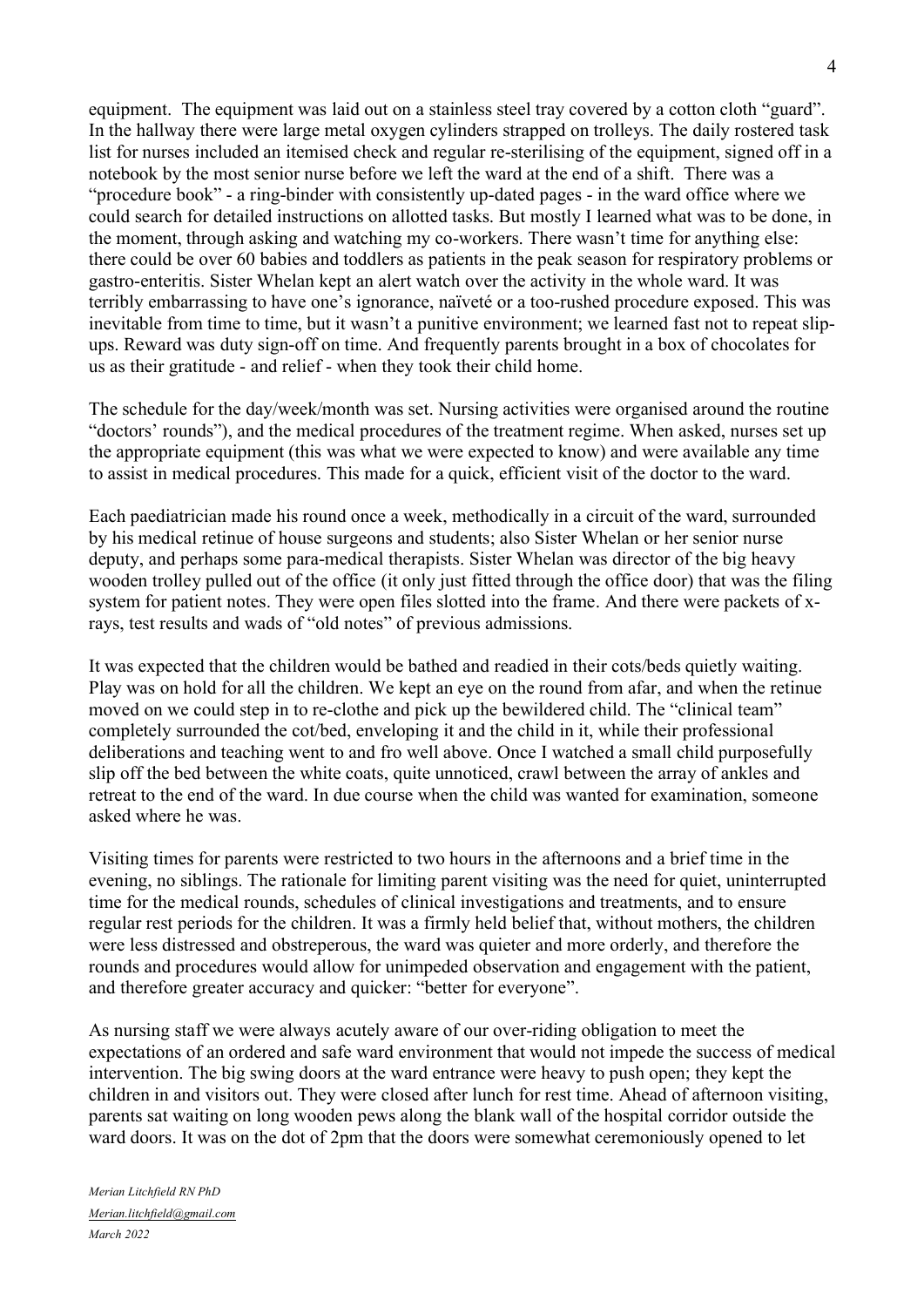equipment. The equipment was laid out on a stainless steel tray covered by a cotton cloth "guard". In the hallway there were large metal oxygen cylinders strapped on trolleys. The daily rostered task list for nurses included an itemised check and regular re-sterilising of the equipment, signed off in a notebook by the most senior nurse before we left the ward at the end of a shift. There was a "procedure book" - a ring-binder with consistently up-dated pages - in the ward office where we could search for detailed instructions on allotted tasks. But mostly I learned what was to be done, in the moment, through asking and watching my co-workers. There wasn't time for anything else: there could be over 60 babies and toddlers as patients in the peak season for respiratory problems or gastro-enteritis. Sister Whelan kept an alert watch over the activity in the whole ward. It was terribly embarrassing to have one's ignorance, naïveté or a too-rushed procedure exposed. This was inevitable from time to time, but it wasn't a punitive environment; we learned fast not to repeat slipups. Reward was duty sign-off on time. And frequently parents brought in a box of chocolates for us as their gratitude - and relief - when they took their child home.

The schedule for the day/week/month was set. Nursing activities were organised around the routine "doctors' rounds"), and the medical procedures of the treatment regime. When asked, nurses set up the appropriate equipment (this was what we were expected to know) and were available any time to assist in medical procedures. This made for a quick, efficient visit of the doctor to the ward.

Each paediatrician made his round once a week, methodically in a circuit of the ward, surrounded by his medical retinue of house surgeons and students; also Sister Whelan or her senior nurse deputy, and perhaps some para-medical therapists. Sister Whelan was director of the big heavy wooden trolley pulled out of the office (it only just fitted through the office door) that was the filing system for patient notes. They were open files slotted into the frame. And there were packets of xrays, test results and wads of "old notes" of previous admissions.

It was expected that the children would be bathed and readied in their cots/beds quietly waiting. Play was on hold for all the children. We kept an eye on the round from afar, and when the retinue moved on we could step in to re-clothe and pick up the bewildered child. The "clinical team" completely surrounded the cot/bed, enveloping it and the child in it, while their professional deliberations and teaching went to and fro well above. Once I watched a small child purposefully slip off the bed between the white coats, quite unnoticed, crawl between the array of ankles and retreat to the end of the ward. In due course when the child was wanted for examination, someone asked where he was.

Visiting times for parents were restricted to two hours in the afternoons and a brief time in the evening, no siblings. The rationale for limiting parent visiting was the need for quiet, uninterrupted time for the medical rounds, schedules of clinical investigations and treatments, and to ensure regular rest periods for the children. It was a firmly held belief that, without mothers, the children were less distressed and obstreperous, the ward was quieter and more orderly, and therefore the rounds and procedures would allow for unimpeded observation and engagement with the patient, and therefore greater accuracy and quicker: "better for everyone".

As nursing staff we were always acutely aware of our over-riding obligation to meet the expectations of an ordered and safe ward environment that would not impede the success of medical intervention. The big swing doors at the ward entrance were heavy to push open; they kept the children in and visitors out. They were closed after lunch for rest time. Ahead of afternoon visiting, parents sat waiting on long wooden pews along the blank wall of the hospital corridor outside the ward doors. It was on the dot of 2pm that the doors were somewhat ceremoniously opened to let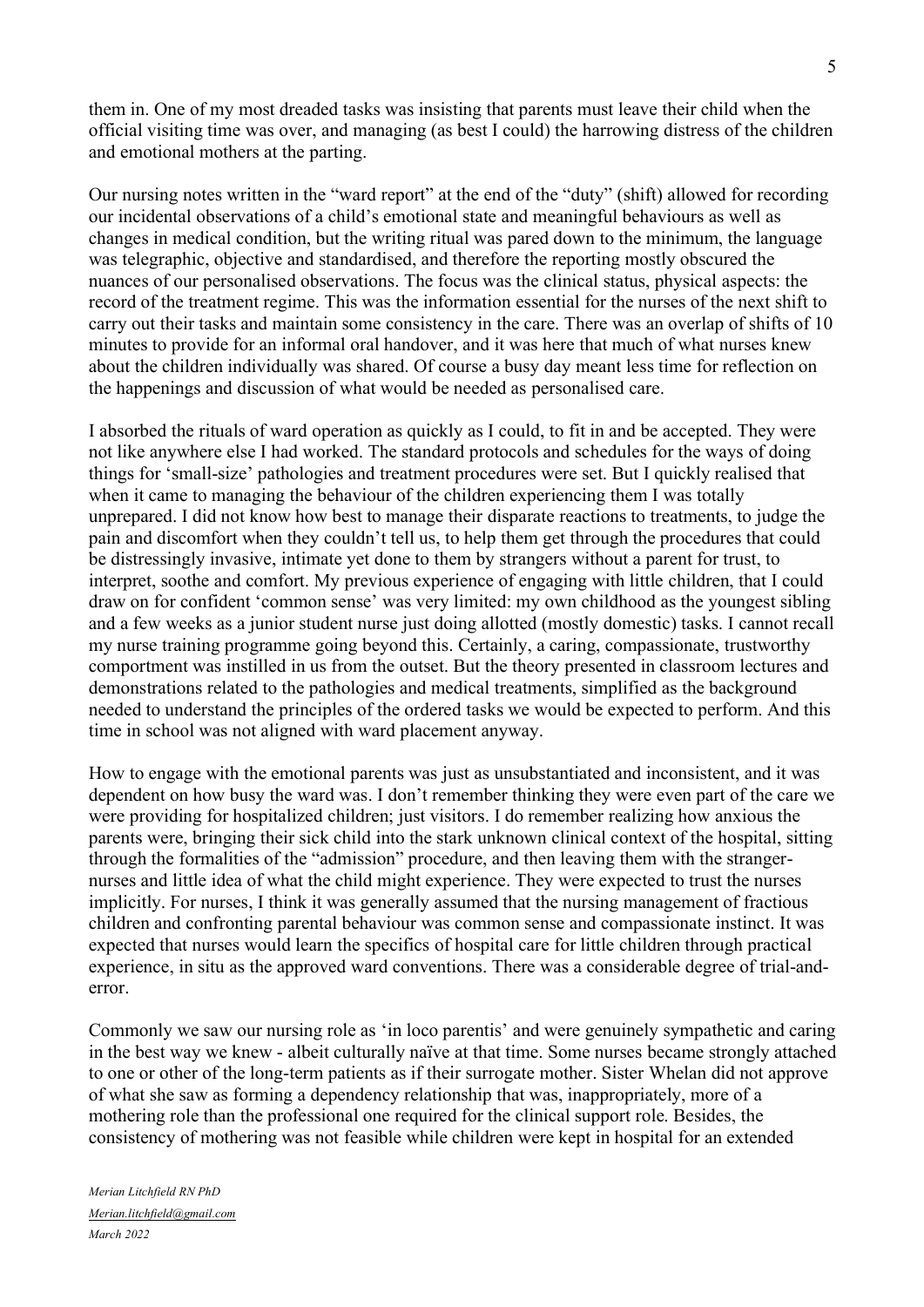them in. One of my most dreaded tasks was insisting that parents must leave their child when the official visiting time was over, and managing (as best I could) the harrowing distress of the children and emotional mothers at the parting.

Our nursing notes written in the "ward report" at the end of the "duty" (shift) allowed for recording our incidental observations of a child's emotional state and meaningful behaviours as well as changes in medical condition, but the writing ritual was pared down to the minimum, the language was telegraphic, objective and standardised, and therefore the reporting mostly obscured the nuances of our personalised observations. The focus was the clinical status, physical aspects: the record of the treatment regime. This was the information essential for the nurses of the next shift to carry out their tasks and maintain some consistency in the care. There was an overlap of shifts of 10 minutes to provide for an informal oral handover, and it was here that much of what nurses knew about the children individually was shared. Of course a busy day meant less time for reflection on the happenings and discussion of what would be needed as personalised care.

I absorbed the rituals of ward operation as quickly as I could, to fit in and be accepted. They were not like anywhere else I had worked. The standard protocols and schedules for the ways of doing things for 'small-size' pathologies and treatment procedures were set. But I quickly realised that when it came to managing the behaviour of the children experiencing them I was totally unprepared. I did not know how best to manage their disparate reactions to treatments, to judge the pain and discomfort when they couldn't tell us, to help them get through the procedures that could be distressingly invasive, intimate yet done to them by strangers without a parent for trust, to interpret, soothe and comfort. My previous experience of engaging with little children, that I could draw on for confident 'common sense' was very limited: my own childhood as the youngest sibling and a few weeks as a junior student nurse just doing allotted (mostly domestic) tasks. I cannot recall my nurse training programme going beyond this. Certainly, a caring, compassionate, trustworthy comportment was instilled in us from the outset. But the theory presented in classroom lectures and demonstrations related to the pathologies and medical treatments, simplified as the background needed to understand the principles of the ordered tasks we would be expected to perform. And this time in school was not aligned with ward placement anyway.

How to engage with the emotional parents was just as unsubstantiated and inconsistent, and it was dependent on how busy the ward was. I don't remember thinking they were even part of the care we were providing for hospitalized children; just visitors. I do remember realizing how anxious the parents were, bringing their sick child into the stark unknown clinical context of the hospital, sitting through the formalities of the "admission" procedure, and then leaving them with the strangernurses and little idea of what the child might experience. They were expected to trust the nurses implicitly. For nurses, I think it was generally assumed that the nursing management of fractious children and confronting parental behaviour was common sense and compassionate instinct. It was expected that nurses would learn the specifics of hospital care for little children through practical experience, in situ as the approved ward conventions. There was a considerable degree of trial-anderror.

Commonly we saw our nursing role as 'in loco parentis' and were genuinely sympathetic and caring in the best way we knew - albeit culturally naïve at that time. Some nurses became strongly attached to one or other of the long-term patients as if their surrogate mother. Sister Whelan did not approve of what she saw as forming a dependency relationship that was, inappropriately, more of a mothering role than the professional one required for the clinical support role. Besides, the consistency of mothering was not feasible while children were kept in hospital for an extended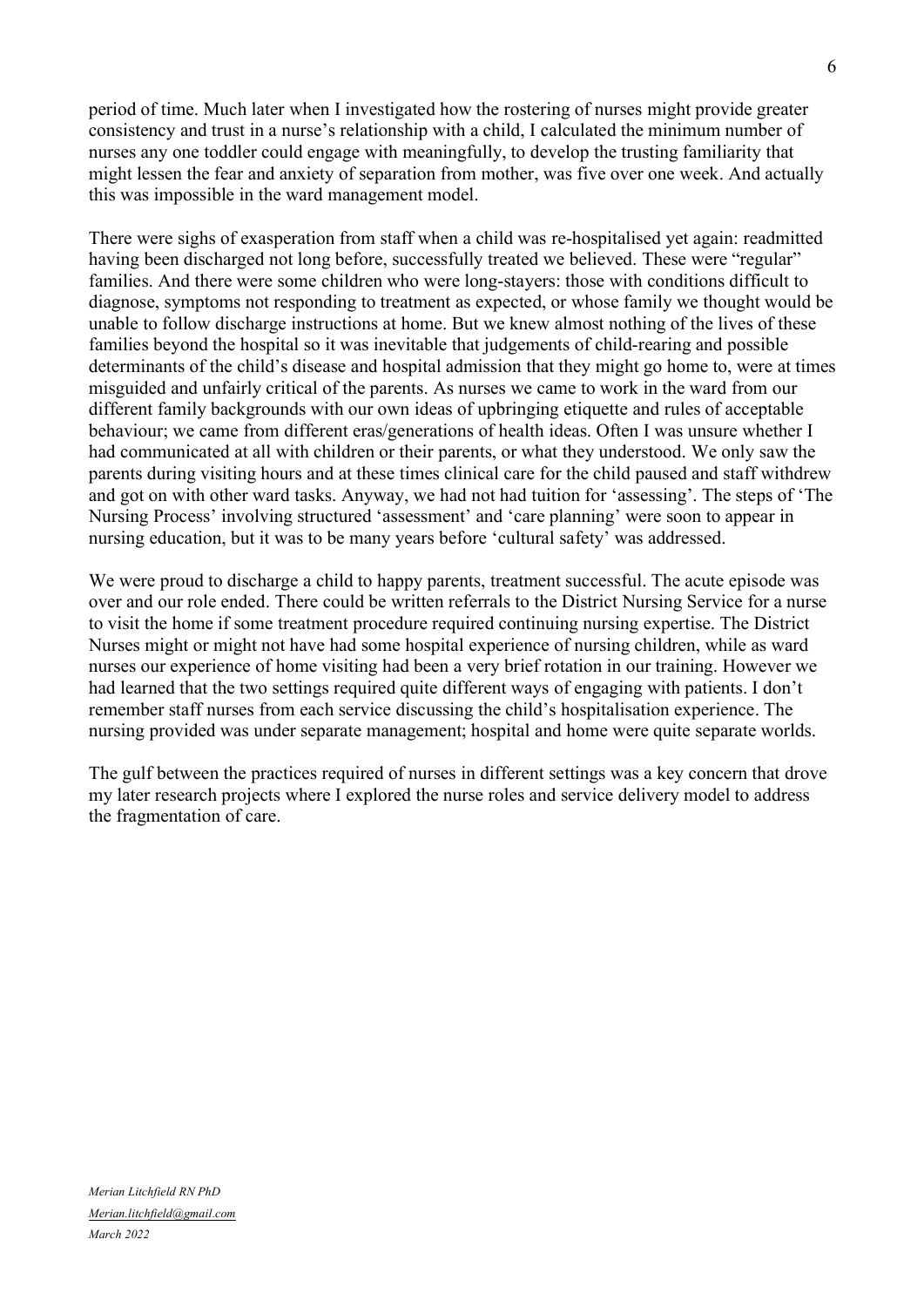period of time. Much later when I investigated how the rostering of nurses might provide greater consistency and trust in a nurse's relationship with a child, I calculated the minimum number of nurses any one toddler could engage with meaningfully, to develop the trusting familiarity that might lessen the fear and anxiety of separation from mother, was five over one week. And actually this was impossible in the ward management model.

There were sighs of exasperation from staff when a child was re-hospitalised yet again: readmitted having been discharged not long before, successfully treated we believed. These were "regular" families. And there were some children who were long-stayers: those with conditions difficult to diagnose, symptoms not responding to treatment as expected, or whose family we thought would be unable to follow discharge instructions at home. But we knew almost nothing of the lives of these families beyond the hospital so it was inevitable that judgements of child-rearing and possible determinants of the child's disease and hospital admission that they might go home to, were at times misguided and unfairly critical of the parents. As nurses we came to work in the ward from our different family backgrounds with our own ideas of upbringing etiquette and rules of acceptable behaviour; we came from different eras/generations of health ideas. Often I was unsure whether I had communicated at all with children or their parents, or what they understood. We only saw the parents during visiting hours and at these times clinical care for the child paused and staff withdrew and got on with other ward tasks. Anyway, we had not had tuition for 'assessing'. The steps of 'The Nursing Process' involving structured 'assessment' and 'care planning' were soon to appear in nursing education, but it was to be many years before 'cultural safety' was addressed.

We were proud to discharge a child to happy parents, treatment successful. The acute episode was over and our role ended. There could be written referrals to the District Nursing Service for a nurse to visit the home if some treatment procedure required continuing nursing expertise. The District Nurses might or might not have had some hospital experience of nursing children, while as ward nurses our experience of home visiting had been a very brief rotation in our training. However we had learned that the two settings required quite different ways of engaging with patients. I don't remember staff nurses from each service discussing the child's hospitalisation experience. The nursing provided was under separate management; hospital and home were quite separate worlds.

The gulf between the practices required of nurses in different settings was a key concern that drove my later research projects where I explored the nurse roles and service delivery model to address the fragmentation of care.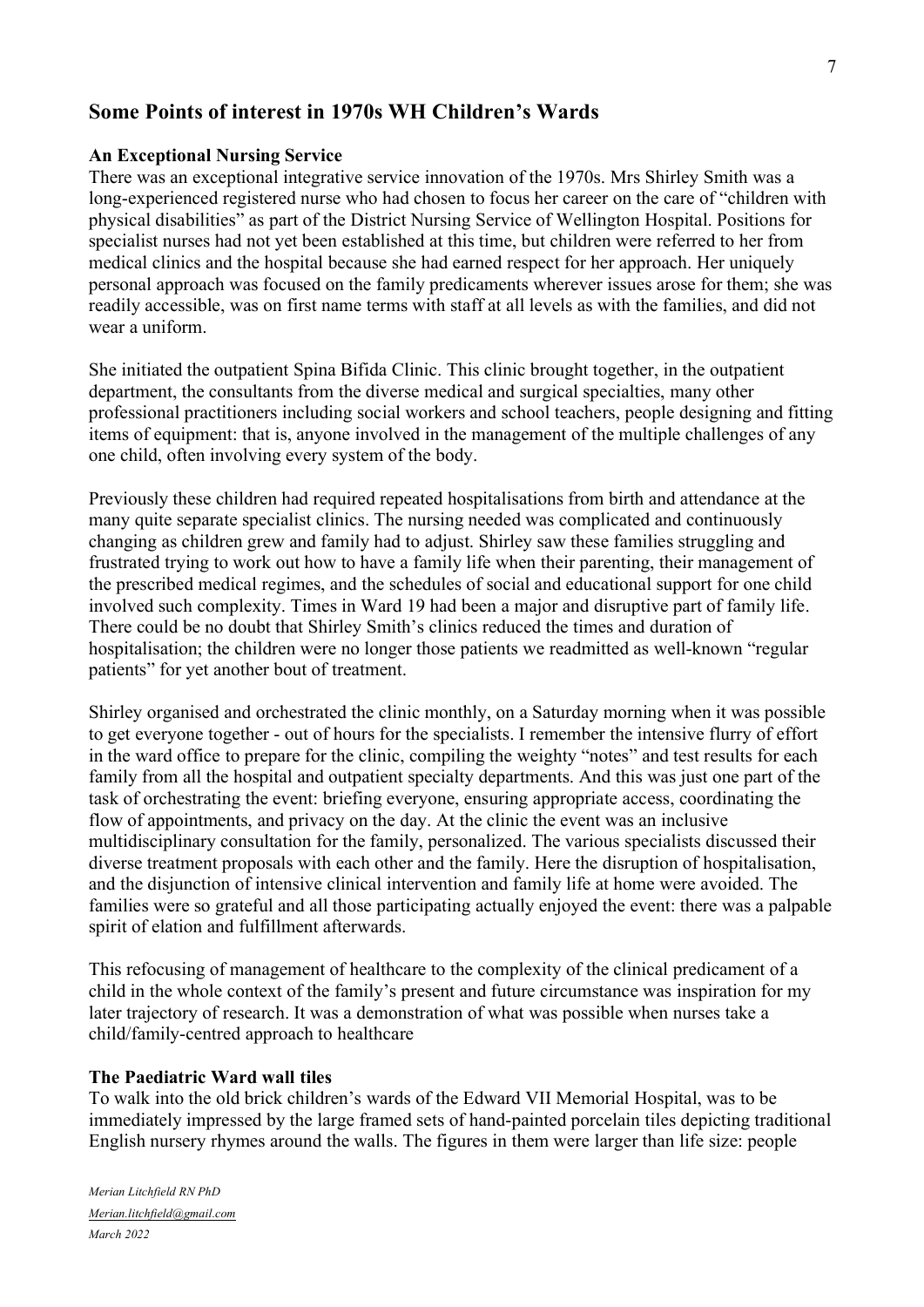# **Some Points of interest in 1970s WH Children's Wards**

## **An Exceptional Nursing Service**

There was an exceptional integrative service innovation of the 1970s. Mrs Shirley Smith was a long-experienced registered nurse who had chosen to focus her career on the care of "children with physical disabilities" as part of the District Nursing Service of Wellington Hospital. Positions for specialist nurses had not yet been established at this time, but children were referred to her from medical clinics and the hospital because she had earned respect for her approach. Her uniquely personal approach was focused on the family predicaments wherever issues arose for them; she was readily accessible, was on first name terms with staff at all levels as with the families, and did not wear a uniform.

She initiated the outpatient Spina Bifida Clinic. This clinic brought together, in the outpatient department, the consultants from the diverse medical and surgical specialties, many other professional practitioners including social workers and school teachers, people designing and fitting items of equipment: that is, anyone involved in the management of the multiple challenges of any one child, often involving every system of the body.

Previously these children had required repeated hospitalisations from birth and attendance at the many quite separate specialist clinics. The nursing needed was complicated and continuously changing as children grew and family had to adjust. Shirley saw these families struggling and frustrated trying to work out how to have a family life when their parenting, their management of the prescribed medical regimes, and the schedules of social and educational support for one child involved such complexity. Times in Ward 19 had been a major and disruptive part of family life. There could be no doubt that Shirley Smith's clinics reduced the times and duration of hospitalisation; the children were no longer those patients we readmitted as well-known "regular patients" for yet another bout of treatment.

Shirley organised and orchestrated the clinic monthly, on a Saturday morning when it was possible to get everyone together - out of hours for the specialists. I remember the intensive flurry of effort in the ward office to prepare for the clinic, compiling the weighty "notes" and test results for each family from all the hospital and outpatient specialty departments. And this was just one part of the task of orchestrating the event: briefing everyone, ensuring appropriate access, coordinating the flow of appointments, and privacy on the day. At the clinic the event was an inclusive multidisciplinary consultation for the family, personalized. The various specialists discussed their diverse treatment proposals with each other and the family. Here the disruption of hospitalisation, and the disjunction of intensive clinical intervention and family life at home were avoided. The families were so grateful and all those participating actually enjoyed the event: there was a palpable spirit of elation and fulfillment afterwards.

This refocusing of management of healthcare to the complexity of the clinical predicament of a child in the whole context of the family's present and future circumstance was inspiration for my later trajectory of research. It was a demonstration of what was possible when nurses take a child/family-centred approach to healthcare

## **The Paediatric Ward wall tiles**

To walk into the old brick children's wards of the Edward VII Memorial Hospital, was to be immediately impressed by the large framed sets of hand-painted porcelain tiles depicting traditional English nursery rhymes around the walls. The figures in them were larger than life size: people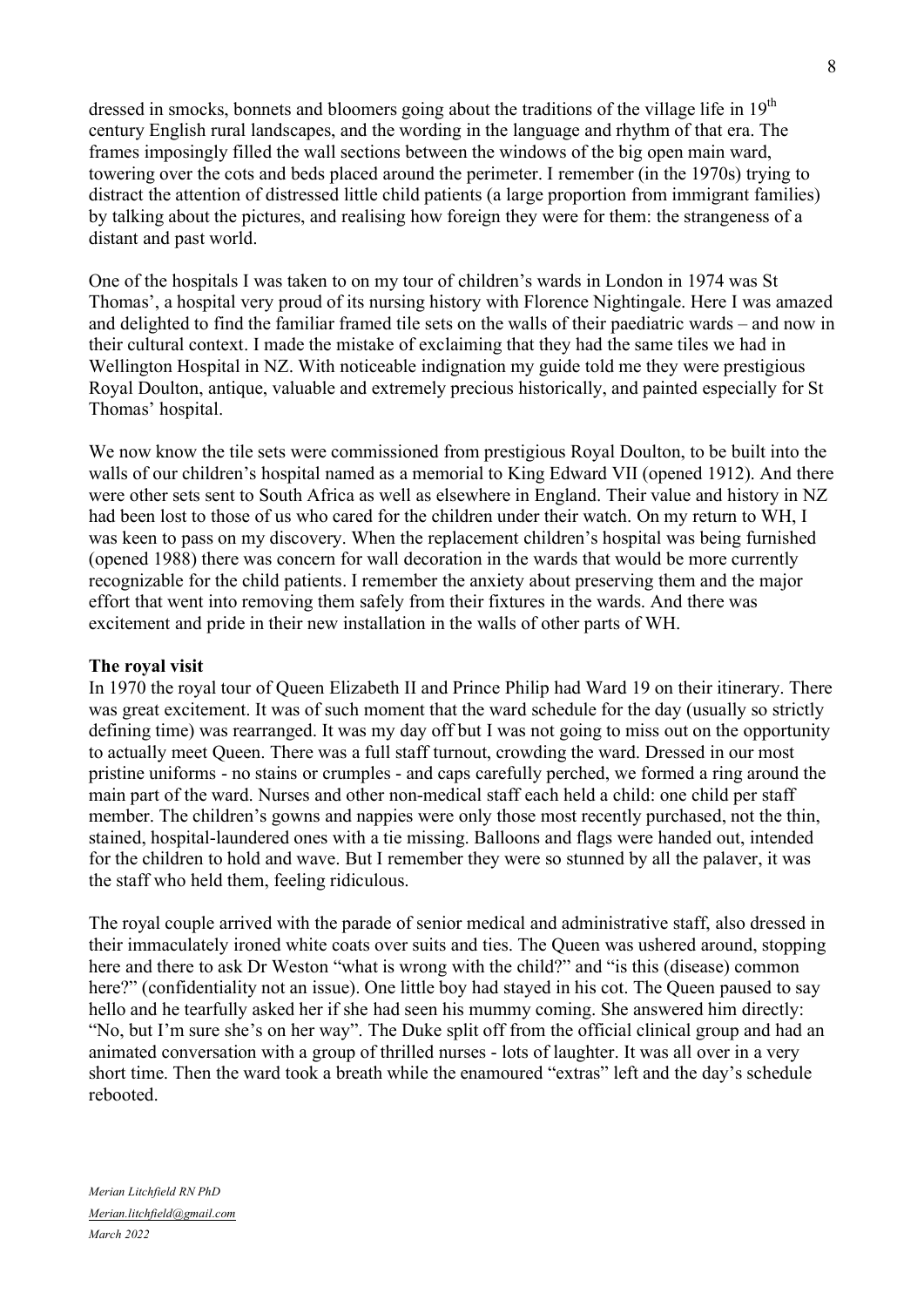dressed in smocks, bonnets and bloomers going about the traditions of the village life in 19<sup>th</sup> century English rural landscapes, and the wording in the language and rhythm of that era. The frames imposingly filled the wall sections between the windows of the big open main ward, towering over the cots and beds placed around the perimeter. I remember (in the 1970s) trying to distract the attention of distressed little child patients (a large proportion from immigrant families) by talking about the pictures, and realising how foreign they were for them: the strangeness of a distant and past world.

One of the hospitals I was taken to on my tour of children's wards in London in 1974 was St Thomas', a hospital very proud of its nursing history with Florence Nightingale. Here I was amazed and delighted to find the familiar framed tile sets on the walls of their paediatric wards – and now in their cultural context. I made the mistake of exclaiming that they had the same tiles we had in Wellington Hospital in NZ. With noticeable indignation my guide told me they were prestigious Royal Doulton, antique, valuable and extremely precious historically, and painted especially for St Thomas' hospital.

We now know the tile sets were commissioned from prestigious Royal Doulton, to be built into the walls of our children's hospital named as a memorial to King Edward VII (opened 1912). And there were other sets sent to South Africa as well as elsewhere in England. Their value and history in NZ had been lost to those of us who cared for the children under their watch. On my return to WH, I was keen to pass on my discovery. When the replacement children's hospital was being furnished (opened 1988) there was concern for wall decoration in the wards that would be more currently recognizable for the child patients. I remember the anxiety about preserving them and the major effort that went into removing them safely from their fixtures in the wards. And there was excitement and pride in their new installation in the walls of other parts of WH.

#### **The royal visit**

In 1970 the royal tour of Queen Elizabeth II and Prince Philip had Ward 19 on their itinerary. There was great excitement. It was of such moment that the ward schedule for the day (usually so strictly defining time) was rearranged. It was my day off but I was not going to miss out on the opportunity to actually meet Queen. There was a full staff turnout, crowding the ward. Dressed in our most pristine uniforms - no stains or crumples - and caps carefully perched, we formed a ring around the main part of the ward. Nurses and other non-medical staff each held a child: one child per staff member. The children's gowns and nappies were only those most recently purchased, not the thin, stained, hospital-laundered ones with a tie missing. Balloons and flags were handed out, intended for the children to hold and wave. But I remember they were so stunned by all the palaver, it was the staff who held them, feeling ridiculous.

The royal couple arrived with the parade of senior medical and administrative staff, also dressed in their immaculately ironed white coats over suits and ties. The Queen was ushered around, stopping here and there to ask Dr Weston "what is wrong with the child?" and "is this (disease) common here?" (confidentiality not an issue). One little boy had stayed in his cot. The Queen paused to say hello and he tearfully asked her if she had seen his mummy coming. She answered him directly: "No, but I'm sure she's on her way". The Duke split off from the official clinical group and had an animated conversation with a group of thrilled nurses - lots of laughter. It was all over in a very short time. Then the ward took a breath while the enamoured "extras" left and the day's schedule rebooted.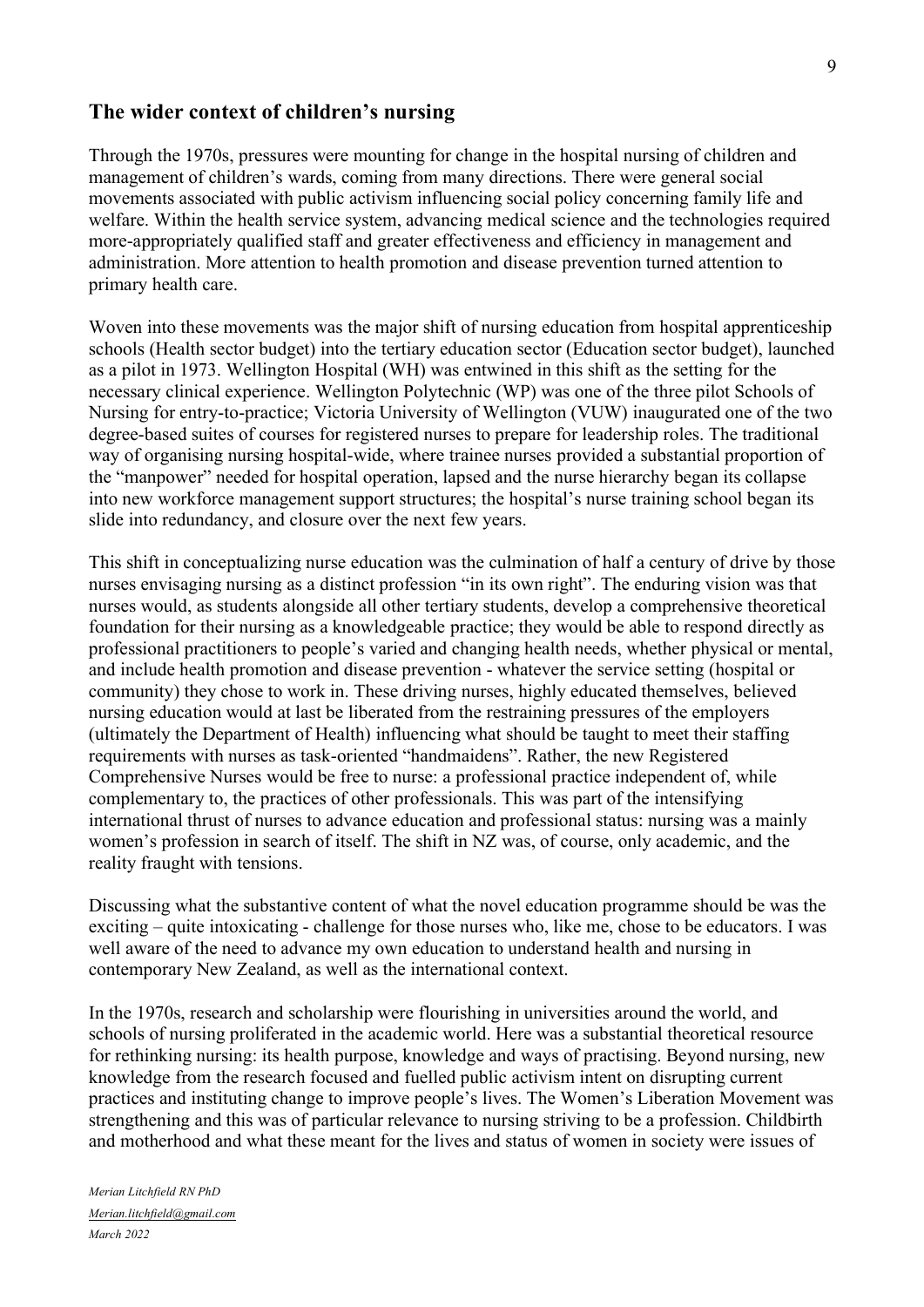## **The wider context of children's nursing**

Through the 1970s, pressures were mounting for change in the hospital nursing of children and management of children's wards, coming from many directions. There were general social movements associated with public activism influencing social policy concerning family life and welfare. Within the health service system, advancing medical science and the technologies required more-appropriately qualified staff and greater effectiveness and efficiency in management and administration. More attention to health promotion and disease prevention turned attention to primary health care.

Woven into these movements was the major shift of nursing education from hospital apprenticeship schools (Health sector budget) into the tertiary education sector (Education sector budget), launched as a pilot in 1973. Wellington Hospital (WH) was entwined in this shift as the setting for the necessary clinical experience. Wellington Polytechnic (WP) was one of the three pilot Schools of Nursing for entry-to-practice; Victoria University of Wellington (VUW) inaugurated one of the two degree-based suites of courses for registered nurses to prepare for leadership roles. The traditional way of organising nursing hospital-wide, where trainee nurses provided a substantial proportion of the "manpower" needed for hospital operation, lapsed and the nurse hierarchy began its collapse into new workforce management support structures; the hospital's nurse training school began its slide into redundancy, and closure over the next few years.

This shift in conceptualizing nurse education was the culmination of half a century of drive by those nurses envisaging nursing as a distinct profession "in its own right". The enduring vision was that nurses would, as students alongside all other tertiary students, develop a comprehensive theoretical foundation for their nursing as a knowledgeable practice; they would be able to respond directly as professional practitioners to people's varied and changing health needs, whether physical or mental, and include health promotion and disease prevention - whatever the service setting (hospital or community) they chose to work in. These driving nurses, highly educated themselves, believed nursing education would at last be liberated from the restraining pressures of the employers (ultimately the Department of Health) influencing what should be taught to meet their staffing requirements with nurses as task-oriented "handmaidens". Rather, the new Registered Comprehensive Nurses would be free to nurse: a professional practice independent of, while complementary to, the practices of other professionals. This was part of the intensifying international thrust of nurses to advance education and professional status: nursing was a mainly women's profession in search of itself. The shift in NZ was, of course, only academic, and the reality fraught with tensions.

Discussing what the substantive content of what the novel education programme should be was the exciting – quite intoxicating - challenge for those nurses who, like me, chose to be educators. I was well aware of the need to advance my own education to understand health and nursing in contemporary New Zealand, as well as the international context.

In the 1970s, research and scholarship were flourishing in universities around the world, and schools of nursing proliferated in the academic world. Here was a substantial theoretical resource for rethinking nursing: its health purpose, knowledge and ways of practising. Beyond nursing, new knowledge from the research focused and fuelled public activism intent on disrupting current practices and instituting change to improve people's lives. The Women's Liberation Movement was strengthening and this was of particular relevance to nursing striving to be a profession. Childbirth and motherhood and what these meant for the lives and status of women in society were issues of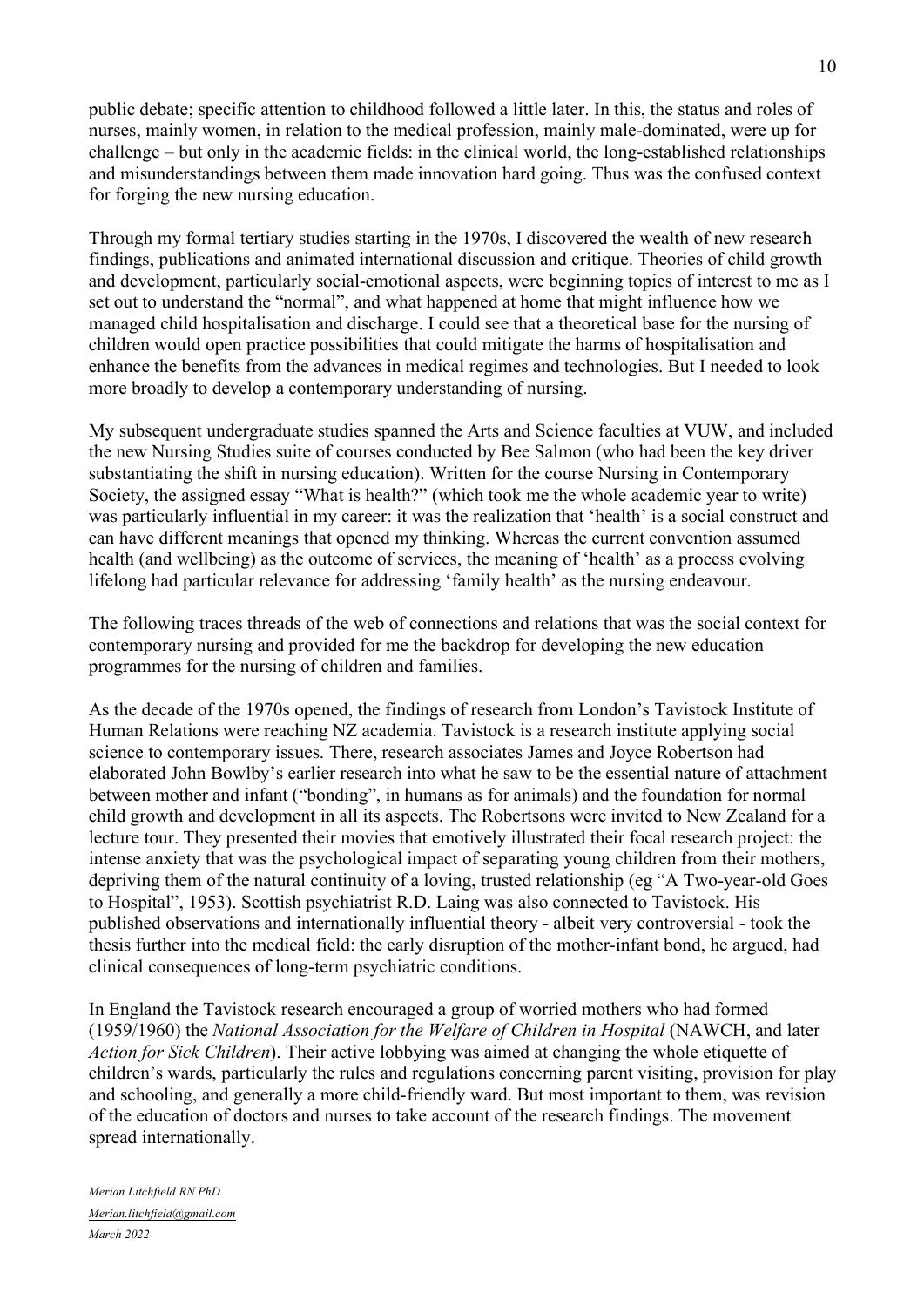public debate; specific attention to childhood followed a little later. In this, the status and roles of nurses, mainly women, in relation to the medical profession, mainly male-dominated, were up for challenge – but only in the academic fields: in the clinical world, the long-established relationships and misunderstandings between them made innovation hard going. Thus was the confused context for forging the new nursing education.

Through my formal tertiary studies starting in the 1970s, I discovered the wealth of new research findings, publications and animated international discussion and critique. Theories of child growth and development, particularly social-emotional aspects, were beginning topics of interest to me as I set out to understand the "normal", and what happened at home that might influence how we managed child hospitalisation and discharge. I could see that a theoretical base for the nursing of children would open practice possibilities that could mitigate the harms of hospitalisation and enhance the benefits from the advances in medical regimes and technologies. But I needed to look more broadly to develop a contemporary understanding of nursing.

My subsequent undergraduate studies spanned the Arts and Science faculties at VUW, and included the new Nursing Studies suite of courses conducted by Bee Salmon (who had been the key driver substantiating the shift in nursing education). Written for the course Nursing in Contemporary Society, the assigned essay "What is health?" (which took me the whole academic year to write) was particularly influential in my career: it was the realization that 'health' is a social construct and can have different meanings that opened my thinking. Whereas the current convention assumed health (and wellbeing) as the outcome of services, the meaning of 'health' as a process evolving lifelong had particular relevance for addressing 'family health' as the nursing endeavour.

The following traces threads of the web of connections and relations that was the social context for contemporary nursing and provided for me the backdrop for developing the new education programmes for the nursing of children and families.

As the decade of the 1970s opened, the findings of research from London's Tavistock Institute of Human Relations were reaching NZ academia. Tavistock is a research institute applying social science to contemporary issues. There, research associates James and Joyce Robertson had elaborated John Bowlby's earlier research into what he saw to be the essential nature of attachment between mother and infant ("bonding", in humans as for animals) and the foundation for normal child growth and development in all its aspects. The Robertsons were invited to New Zealand for a lecture tour. They presented their movies that emotively illustrated their focal research project: the intense anxiety that was the psychological impact of separating young children from their mothers, depriving them of the natural continuity of a loving, trusted relationship (eg "A Two-year-old Goes to Hospital", 1953). Scottish psychiatrist R.D. Laing was also connected to Tavistock. His published observations and internationally influential theory - albeit very controversial - took the thesis further into the medical field: the early disruption of the mother-infant bond, he argued, had clinical consequences of long-term psychiatric conditions.

In England the Tavistock research encouraged a group of worried mothers who had formed (1959/1960) the *National Association for the Welfare of Children in Hospital* (NAWCH, and later *Action for Sick Children*). Their active lobbying was aimed at changing the whole etiquette of children's wards, particularly the rules and regulations concerning parent visiting, provision for play and schooling, and generally a more child-friendly ward. But most important to them, was revision of the education of doctors and nurses to take account of the research findings. The movement spread internationally.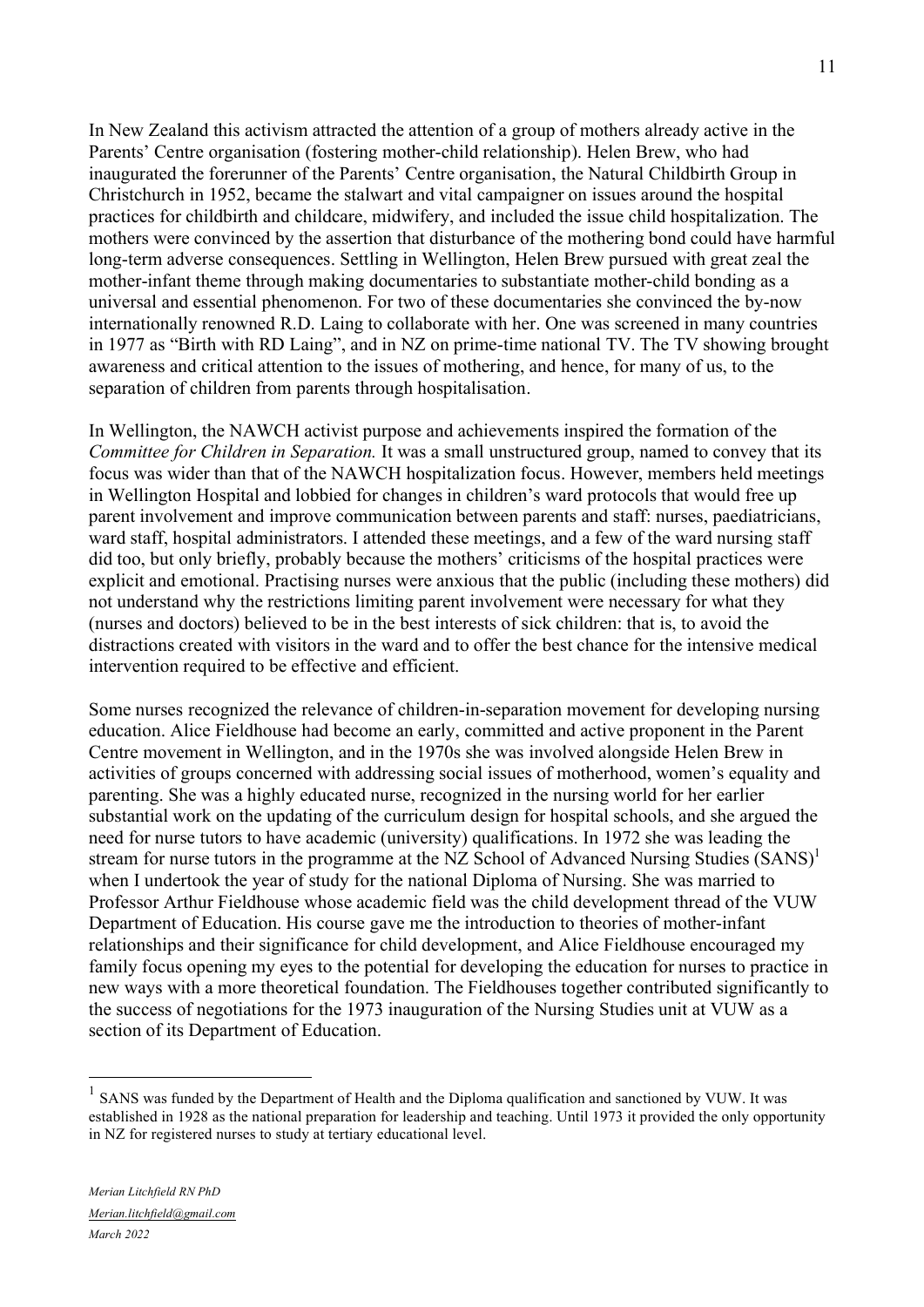In New Zealand this activism attracted the attention of a group of mothers already active in the Parents' Centre organisation (fostering mother-child relationship). Helen Brew, who had inaugurated the forerunner of the Parents' Centre organisation, the Natural Childbirth Group in Christchurch in 1952, became the stalwart and vital campaigner on issues around the hospital practices for childbirth and childcare, midwifery, and included the issue child hospitalization. The mothers were convinced by the assertion that disturbance of the mothering bond could have harmful long-term adverse consequences. Settling in Wellington, Helen Brew pursued with great zeal the mother-infant theme through making documentaries to substantiate mother-child bonding as a universal and essential phenomenon. For two of these documentaries she convinced the by-now internationally renowned R.D. Laing to collaborate with her. One was screened in many countries in 1977 as "Birth with RD Laing", and in NZ on prime-time national TV. The TV showing brought awareness and critical attention to the issues of mothering, and hence, for many of us, to the separation of children from parents through hospitalisation.

In Wellington, the NAWCH activist purpose and achievements inspired the formation of the *Committee for Children in Separation.* It was a small unstructured group, named to convey that its focus was wider than that of the NAWCH hospitalization focus. However, members held meetings in Wellington Hospital and lobbied for changes in children's ward protocols that would free up parent involvement and improve communication between parents and staff: nurses, paediatricians, ward staff, hospital administrators. I attended these meetings, and a few of the ward nursing staff did too, but only briefly, probably because the mothers' criticisms of the hospital practices were explicit and emotional. Practising nurses were anxious that the public (including these mothers) did not understand why the restrictions limiting parent involvement were necessary for what they (nurses and doctors) believed to be in the best interests of sick children: that is, to avoid the distractions created with visitors in the ward and to offer the best chance for the intensive medical intervention required to be effective and efficient.

Some nurses recognized the relevance of children-in-separation movement for developing nursing education. Alice Fieldhouse had become an early, committed and active proponent in the Parent Centre movement in Wellington, and in the 1970s she was involved alongside Helen Brew in activities of groups concerned with addressing social issues of motherhood, women's equality and parenting. She was a highly educated nurse, recognized in the nursing world for her earlier substantial work on the updating of the curriculum design for hospital schools, and she argued the need for nurse tutors to have academic (university) qualifications. In 1972 she was leading the stream for nurse tutors in the programme at the NZ School of Advanced Nursing Studies (SANS)<sup>1</sup> when I undertook the year of study for the national Diploma of Nursing. She was married to Professor Arthur Fieldhouse whose academic field was the child development thread of the VUW Department of Education. His course gave me the introduction to theories of mother-infant relationships and their significance for child development, and Alice Fieldhouse encouraged my family focus opening my eyes to the potential for developing the education for nurses to practice in new ways with a more theoretical foundation. The Fieldhouses together contributed significantly to the success of negotiations for the 1973 inauguration of the Nursing Studies unit at VUW as a section of its Department of Education.

<sup>&</sup>lt;sup>1</sup> SANS was funded by the Department of Health and the Diploma qualification and sanctioned by VUW. It was established in 1928 as the national preparation for leadership and teaching. Until 1973 it provided the only opportunity in NZ for registered nurses to study at tertiary educational level.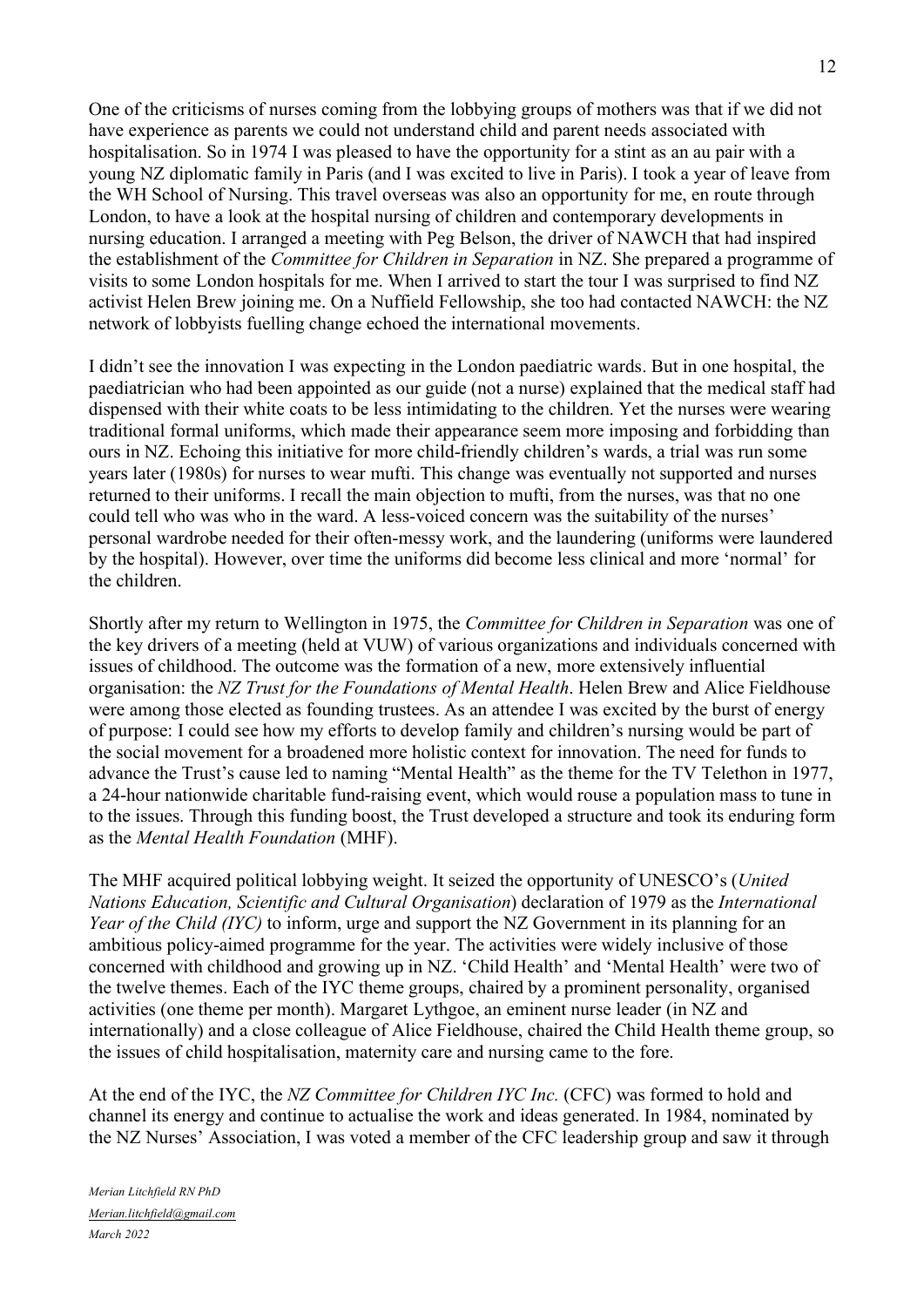One of the criticisms of nurses coming from the lobbying groups of mothers was that if we did not have experience as parents we could not understand child and parent needs associated with hospitalisation. So in 1974 I was pleased to have the opportunity for a stint as an au pair with a young NZ diplomatic family in Paris (and I was excited to live in Paris). I took a year of leave from the WH School of Nursing. This travel overseas was also an opportunity for me, en route through London, to have a look at the hospital nursing of children and contemporary developments in nursing education. I arranged a meeting with Peg Belson, the driver of NAWCH that had inspired the establishment of the *Committee for Children in Separation* in NZ. She prepared a programme of visits to some London hospitals for me. When I arrived to start the tour I was surprised to find NZ activist Helen Brew joining me. On a Nuffield Fellowship, she too had contacted NAWCH: the NZ network of lobbyists fuelling change echoed the international movements.

I didn't see the innovation I was expecting in the London paediatric wards. But in one hospital, the paediatrician who had been appointed as our guide (not a nurse) explained that the medical staff had dispensed with their white coats to be less intimidating to the children. Yet the nurses were wearing traditional formal uniforms, which made their appearance seem more imposing and forbidding than ours in NZ. Echoing this initiative for more child-friendly children's wards, a trial was run some years later (1980s) for nurses to wear mufti. This change was eventually not supported and nurses returned to their uniforms. I recall the main objection to mufti, from the nurses, was that no one could tell who was who in the ward. A less-voiced concern was the suitability of the nurses' personal wardrobe needed for their often-messy work, and the laundering (uniforms were laundered by the hospital). However, over time the uniforms did become less clinical and more 'normal' for the children.

Shortly after my return to Wellington in 1975, the *Committee for Children in Separation* was one of the key drivers of a meeting (held at VUW) of various organizations and individuals concerned with issues of childhood. The outcome was the formation of a new, more extensively influential organisation: the *NZ Trust for the Foundations of Mental Health*. Helen Brew and Alice Fieldhouse were among those elected as founding trustees. As an attendee I was excited by the burst of energy of purpose: I could see how my efforts to develop family and children's nursing would be part of the social movement for a broadened more holistic context for innovation. The need for funds to advance the Trust's cause led to naming "Mental Health" as the theme for the TV Telethon in 1977, a 24-hour nationwide charitable fund-raising event, which would rouse a population mass to tune in to the issues. Through this funding boost, the Trust developed a structure and took its enduring form as the *Mental Health Foundation* (MHF).

The MHF acquired political lobbying weight. It seized the opportunity of UNESCO's (*United Nations Education, Scientific and Cultural Organisation*) declaration of 1979 as the *International Year of the Child (IYC)* to inform, urge and support the NZ Government in its planning for an ambitious policy-aimed programme for the year. The activities were widely inclusive of those concerned with childhood and growing up in NZ. 'Child Health' and 'Mental Health' were two of the twelve themes. Each of the IYC theme groups, chaired by a prominent personality, organised activities (one theme per month). Margaret Lythgoe, an eminent nurse leader (in NZ and internationally) and a close colleague of Alice Fieldhouse, chaired the Child Health theme group, so the issues of child hospitalisation, maternity care and nursing came to the fore.

At the end of the IYC, the *NZ Committee for Children IYC Inc.* (CFC) was formed to hold and channel its energy and continue to actualise the work and ideas generated. In 1984, nominated by the NZ Nurses' Association, I was voted a member of the CFC leadership group and saw it through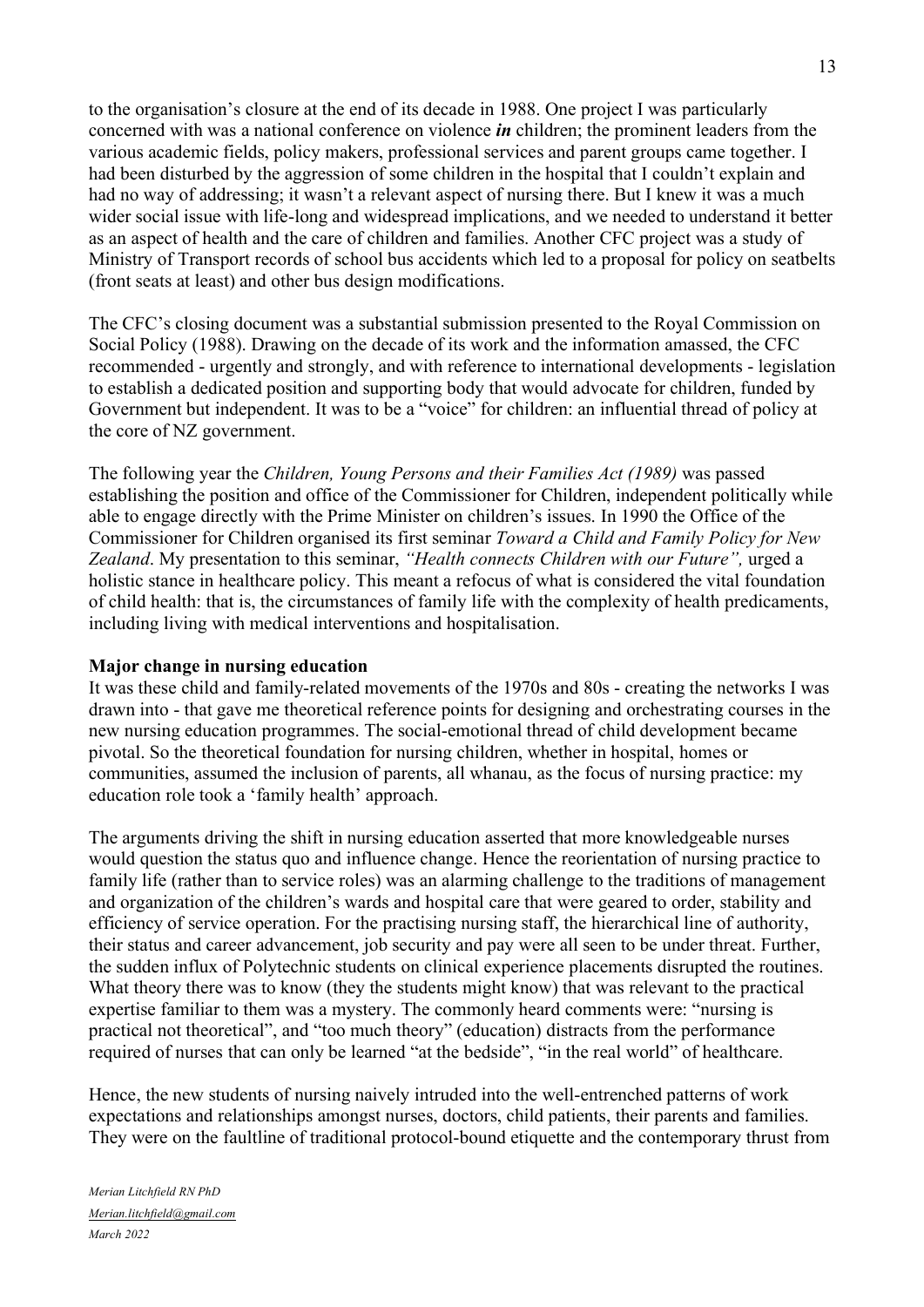to the organisation's closure at the end of its decade in 1988. One project I was particularly concerned with was a national conference on violence *in* children; the prominent leaders from the various academic fields, policy makers, professional services and parent groups came together. I had been disturbed by the aggression of some children in the hospital that I couldn't explain and had no way of addressing; it wasn't a relevant aspect of nursing there. But I knew it was a much wider social issue with life-long and widespread implications, and we needed to understand it better as an aspect of health and the care of children and families. Another CFC project was a study of Ministry of Transport records of school bus accidents which led to a proposal for policy on seatbelts (front seats at least) and other bus design modifications.

The CFC's closing document was a substantial submission presented to the Royal Commission on Social Policy (1988). Drawing on the decade of its work and the information amassed, the CFC recommended - urgently and strongly, and with reference to international developments - legislation to establish a dedicated position and supporting body that would advocate for children, funded by Government but independent. It was to be a "voice" for children: an influential thread of policy at the core of NZ government.

The following year the *Children, Young Persons and their Families Act (1989)* was passed establishing the position and office of the Commissioner for Children, independent politically while able to engage directly with the Prime Minister on children's issues. In 1990 the Office of the Commissioner for Children organised its first seminar *Toward a Child and Family Policy for New Zealand*. My presentation to this seminar, *"Health connects Children with our Future",* urged a holistic stance in healthcare policy. This meant a refocus of what is considered the vital foundation of child health: that is, the circumstances of family life with the complexity of health predicaments, including living with medical interventions and hospitalisation.

#### **Major change in nursing education**

It was these child and family-related movements of the 1970s and 80s - creating the networks I was drawn into - that gave me theoretical reference points for designing and orchestrating courses in the new nursing education programmes. The social-emotional thread of child development became pivotal. So the theoretical foundation for nursing children, whether in hospital, homes or communities, assumed the inclusion of parents, all whanau, as the focus of nursing practice: my education role took a 'family health' approach.

The arguments driving the shift in nursing education asserted that more knowledgeable nurses would question the status quo and influence change. Hence the reorientation of nursing practice to family life (rather than to service roles) was an alarming challenge to the traditions of management and organization of the children's wards and hospital care that were geared to order, stability and efficiency of service operation. For the practising nursing staff, the hierarchical line of authority, their status and career advancement, job security and pay were all seen to be under threat. Further, the sudden influx of Polytechnic students on clinical experience placements disrupted the routines. What theory there was to know (they the students might know) that was relevant to the practical expertise familiar to them was a mystery. The commonly heard comments were: "nursing is practical not theoretical", and "too much theory" (education) distracts from the performance required of nurses that can only be learned "at the bedside", "in the real world" of healthcare.

Hence, the new students of nursing naively intruded into the well-entrenched patterns of work expectations and relationships amongst nurses, doctors, child patients, their parents and families. They were on the faultline of traditional protocol-bound etiquette and the contemporary thrust from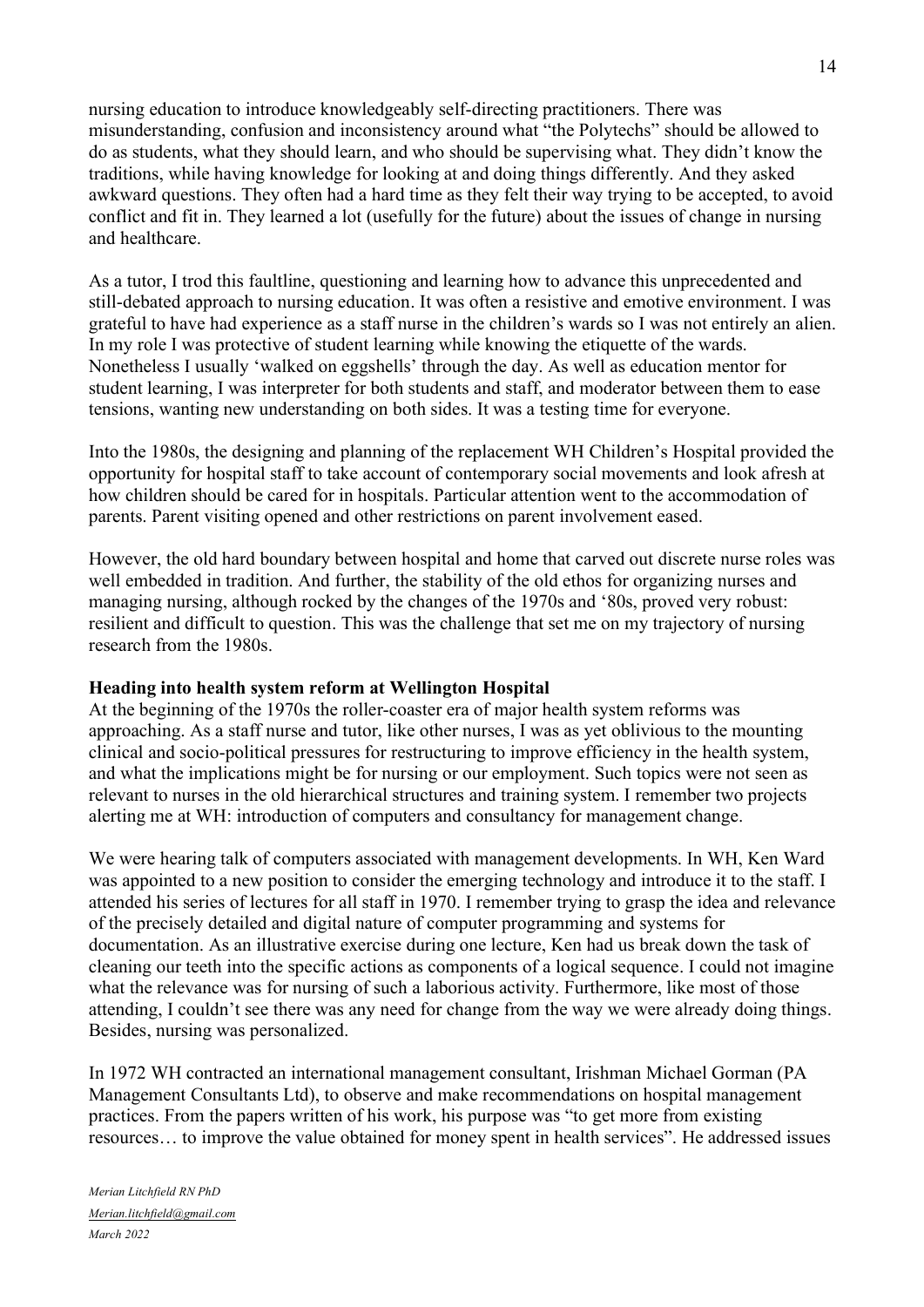nursing education to introduce knowledgeably self-directing practitioners. There was misunderstanding, confusion and inconsistency around what "the Polytechs" should be allowed to do as students, what they should learn, and who should be supervising what. They didn't know the traditions, while having knowledge for looking at and doing things differently. And they asked awkward questions. They often had a hard time as they felt their way trying to be accepted, to avoid conflict and fit in. They learned a lot (usefully for the future) about the issues of change in nursing and healthcare.

As a tutor, I trod this faultline, questioning and learning how to advance this unprecedented and still-debated approach to nursing education. It was often a resistive and emotive environment. I was grateful to have had experience as a staff nurse in the children's wards so I was not entirely an alien. In my role I was protective of student learning while knowing the etiquette of the wards. Nonetheless I usually 'walked on eggshells' through the day. As well as education mentor for student learning, I was interpreter for both students and staff, and moderator between them to ease tensions, wanting new understanding on both sides. It was a testing time for everyone.

Into the 1980s, the designing and planning of the replacement WH Children's Hospital provided the opportunity for hospital staff to take account of contemporary social movements and look afresh at how children should be cared for in hospitals. Particular attention went to the accommodation of parents. Parent visiting opened and other restrictions on parent involvement eased.

However, the old hard boundary between hospital and home that carved out discrete nurse roles was well embedded in tradition. And further, the stability of the old ethos for organizing nurses and managing nursing, although rocked by the changes of the 1970s and '80s, proved very robust: resilient and difficult to question. This was the challenge that set me on my trajectory of nursing research from the 1980s.

## **Heading into health system reform at Wellington Hospital**

At the beginning of the 1970s the roller-coaster era of major health system reforms was approaching. As a staff nurse and tutor, like other nurses, I was as yet oblivious to the mounting clinical and socio-political pressures for restructuring to improve efficiency in the health system, and what the implications might be for nursing or our employment. Such topics were not seen as relevant to nurses in the old hierarchical structures and training system. I remember two projects alerting me at WH: introduction of computers and consultancy for management change.

We were hearing talk of computers associated with management developments. In WH, Ken Ward was appointed to a new position to consider the emerging technology and introduce it to the staff. I attended his series of lectures for all staff in 1970. I remember trying to grasp the idea and relevance of the precisely detailed and digital nature of computer programming and systems for documentation. As an illustrative exercise during one lecture, Ken had us break down the task of cleaning our teeth into the specific actions as components of a logical sequence. I could not imagine what the relevance was for nursing of such a laborious activity. Furthermore, like most of those attending, I couldn't see there was any need for change from the way we were already doing things. Besides, nursing was personalized.

In 1972 WH contracted an international management consultant, Irishman Michael Gorman (PA Management Consultants Ltd), to observe and make recommendations on hospital management practices. From the papers written of his work, his purpose was "to get more from existing resources… to improve the value obtained for money spent in health services". He addressed issues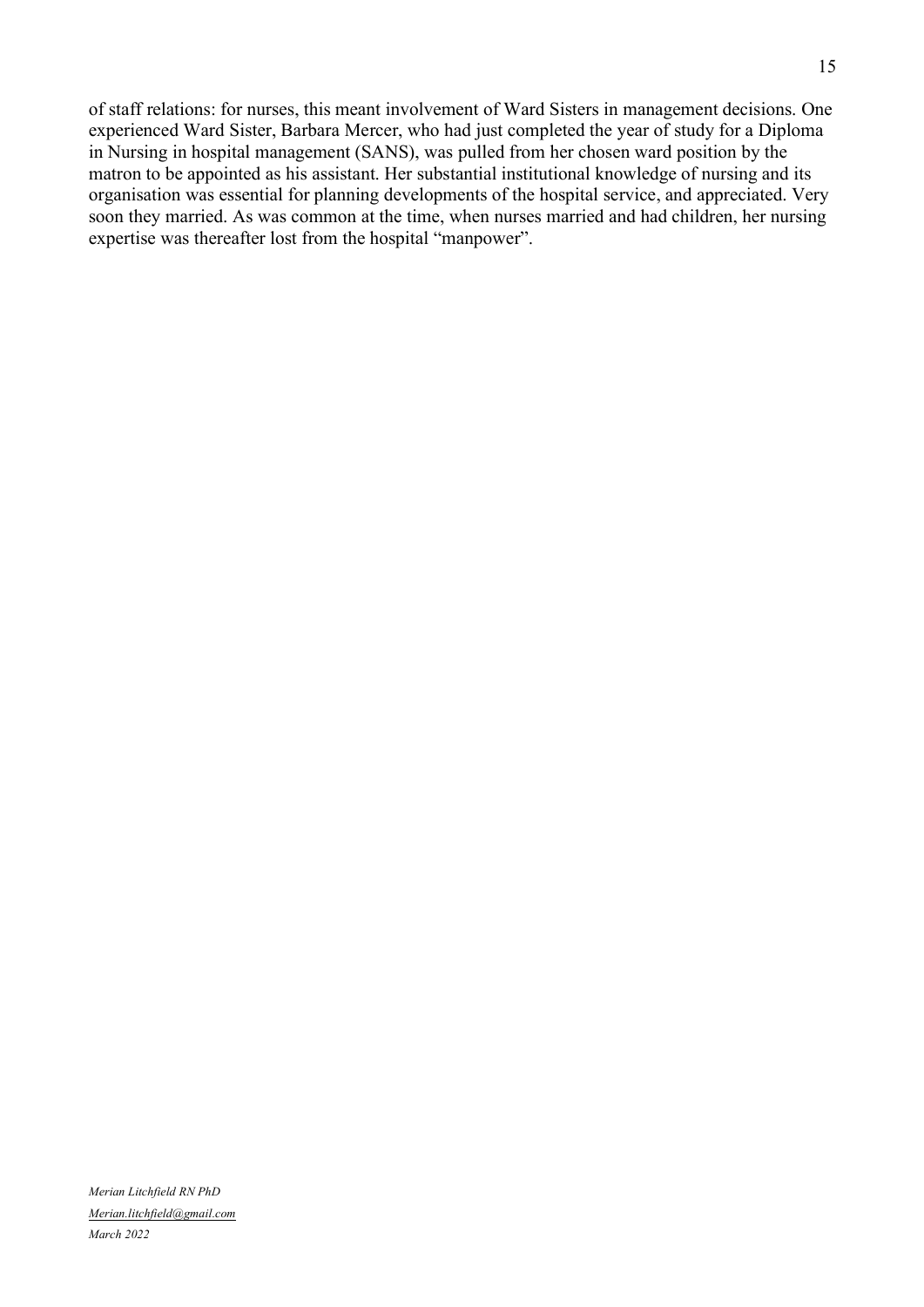of staff relations: for nurses, this meant involvement of Ward Sisters in management decisions. One experienced Ward Sister, Barbara Mercer, who had just completed the year of study for a Diploma in Nursing in hospital management (SANS), was pulled from her chosen ward position by the matron to be appointed as his assistant. Her substantial institutional knowledge of nursing and its organisation was essential for planning developments of the hospital service, and appreciated. Very soon they married. As was common at the time, when nurses married and had children, her nursing expertise was thereafter lost from the hospital "manpower".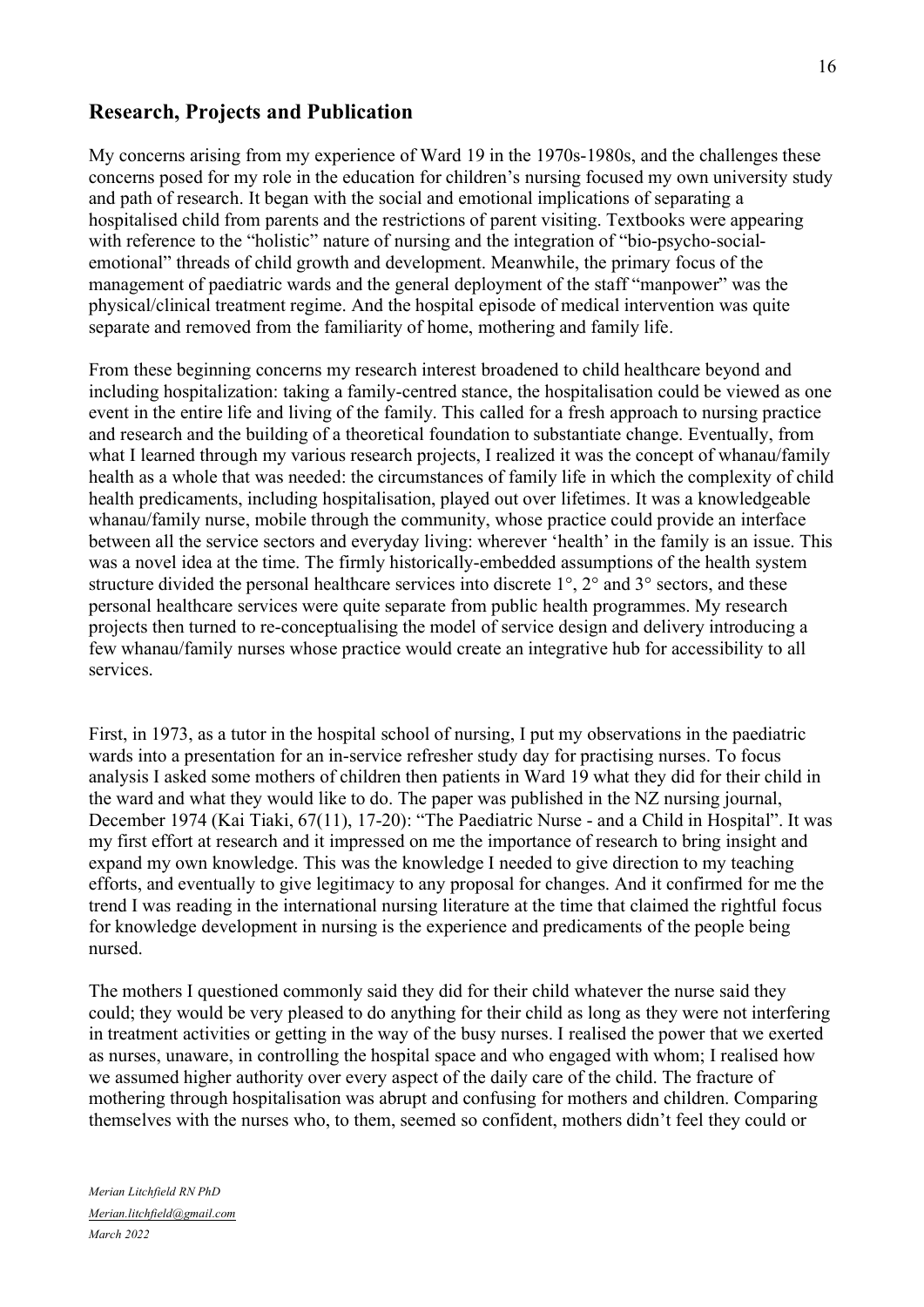## **Research, Projects and Publication**

My concerns arising from my experience of Ward 19 in the 1970s-1980s, and the challenges these concerns posed for my role in the education for children's nursing focused my own university study and path of research. It began with the social and emotional implications of separating a hospitalised child from parents and the restrictions of parent visiting. Textbooks were appearing with reference to the "holistic" nature of nursing and the integration of "bio-psycho-socialemotional" threads of child growth and development. Meanwhile, the primary focus of the management of paediatric wards and the general deployment of the staff "manpower" was the physical/clinical treatment regime. And the hospital episode of medical intervention was quite separate and removed from the familiarity of home, mothering and family life.

From these beginning concerns my research interest broadened to child healthcare beyond and including hospitalization: taking a family-centred stance, the hospitalisation could be viewed as one event in the entire life and living of the family. This called for a fresh approach to nursing practice and research and the building of a theoretical foundation to substantiate change. Eventually, from what I learned through my various research projects, I realized it was the concept of whanau/family health as a whole that was needed: the circumstances of family life in which the complexity of child health predicaments, including hospitalisation, played out over lifetimes. It was a knowledgeable whanau/family nurse, mobile through the community, whose practice could provide an interface between all the service sectors and everyday living: wherever 'health' in the family is an issue. This was a novel idea at the time. The firmly historically-embedded assumptions of the health system structure divided the personal healthcare services into discrete  $1^{\circ}$ ,  $2^{\circ}$  and  $3^{\circ}$  sectors, and these personal healthcare services were quite separate from public health programmes. My research projects then turned to re-conceptualising the model of service design and delivery introducing a few whanau/family nurses whose practice would create an integrative hub for accessibility to all services.

First, in 1973, as a tutor in the hospital school of nursing, I put my observations in the paediatric wards into a presentation for an in-service refresher study day for practising nurses. To focus analysis I asked some mothers of children then patients in Ward 19 what they did for their child in the ward and what they would like to do. The paper was published in the NZ nursing journal, December 1974 (Kai Tiaki, 67(11), 17-20): "The Paediatric Nurse - and a Child in Hospital". It was my first effort at research and it impressed on me the importance of research to bring insight and expand my own knowledge. This was the knowledge I needed to give direction to my teaching efforts, and eventually to give legitimacy to any proposal for changes. And it confirmed for me the trend I was reading in the international nursing literature at the time that claimed the rightful focus for knowledge development in nursing is the experience and predicaments of the people being nursed.

The mothers I questioned commonly said they did for their child whatever the nurse said they could; they would be very pleased to do anything for their child as long as they were not interfering in treatment activities or getting in the way of the busy nurses. I realised the power that we exerted as nurses, unaware, in controlling the hospital space and who engaged with whom; I realised how we assumed higher authority over every aspect of the daily care of the child. The fracture of mothering through hospitalisation was abrupt and confusing for mothers and children. Comparing themselves with the nurses who, to them, seemed so confident, mothers didn't feel they could or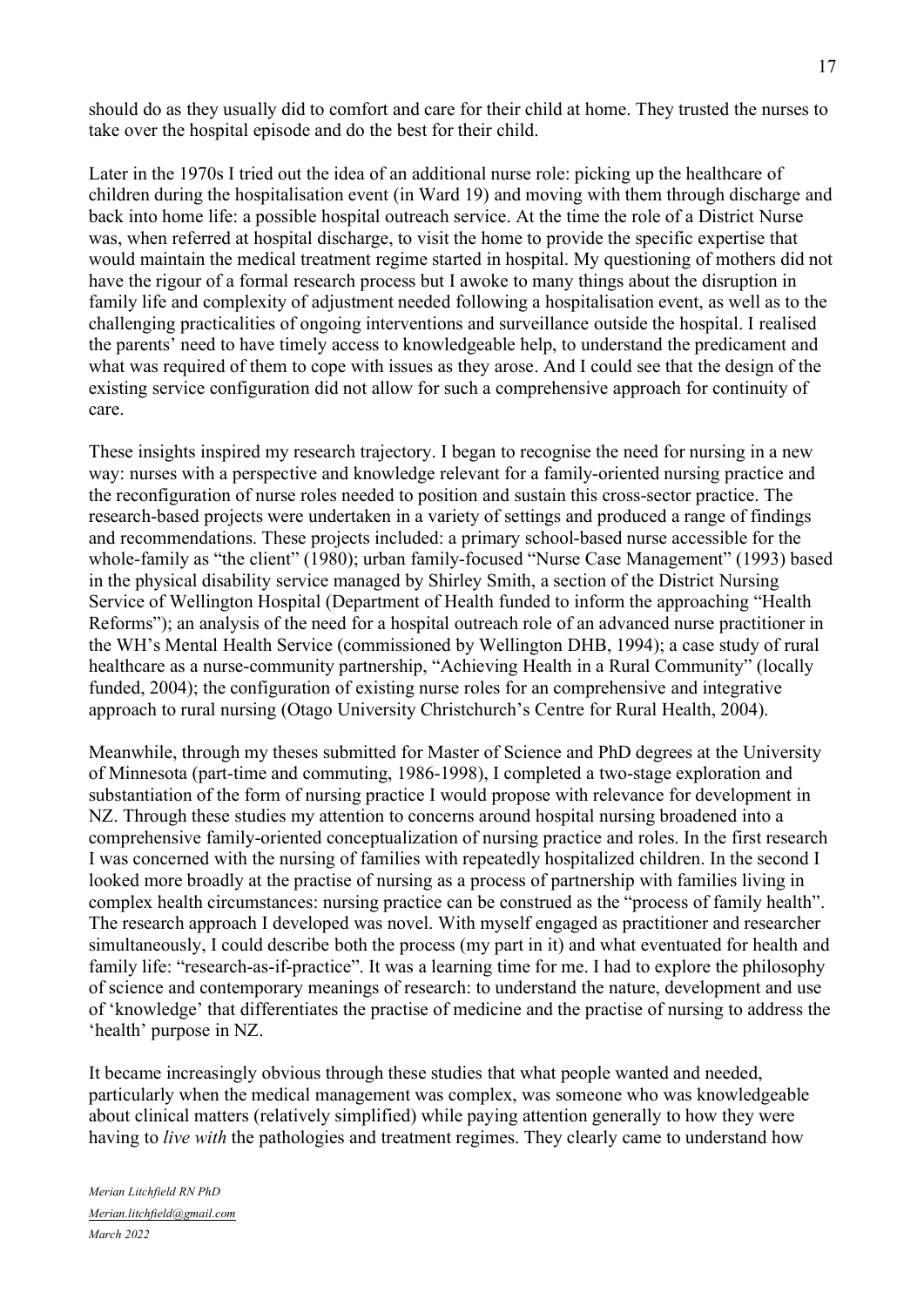should do as they usually did to comfort and care for their child at home. They trusted the nurses to take over the hospital episode and do the best for their child.

Later in the 1970s I tried out the idea of an additional nurse role: picking up the healthcare of children during the hospitalisation event (in Ward 19) and moving with them through discharge and back into home life: a possible hospital outreach service. At the time the role of a District Nurse was, when referred at hospital discharge, to visit the home to provide the specific expertise that would maintain the medical treatment regime started in hospital. My questioning of mothers did not have the rigour of a formal research process but I awoke to many things about the disruption in family life and complexity of adjustment needed following a hospitalisation event, as well as to the challenging practicalities of ongoing interventions and surveillance outside the hospital. I realised the parents' need to have timely access to knowledgeable help, to understand the predicament and what was required of them to cope with issues as they arose. And I could see that the design of the existing service configuration did not allow for such a comprehensive approach for continuity of care.

These insights inspired my research trajectory. I began to recognise the need for nursing in a new way: nurses with a perspective and knowledge relevant for a family-oriented nursing practice and the reconfiguration of nurse roles needed to position and sustain this cross-sector practice. The research-based projects were undertaken in a variety of settings and produced a range of findings and recommendations. These projects included: a primary school-based nurse accessible for the whole-family as "the client" (1980); urban family-focused "Nurse Case Management" (1993) based in the physical disability service managed by Shirley Smith, a section of the District Nursing Service of Wellington Hospital (Department of Health funded to inform the approaching "Health Reforms"); an analysis of the need for a hospital outreach role of an advanced nurse practitioner in the WH's Mental Health Service (commissioned by Wellington DHB, 1994); a case study of rural healthcare as a nurse-community partnership, "Achieving Health in a Rural Community" (locally funded, 2004); the configuration of existing nurse roles for an comprehensive and integrative approach to rural nursing (Otago University Christchurch's Centre for Rural Health, 2004).

Meanwhile, through my theses submitted for Master of Science and PhD degrees at the University of Minnesota (part-time and commuting, 1986-1998), I completed a two-stage exploration and substantiation of the form of nursing practice I would propose with relevance for development in NZ. Through these studies my attention to concerns around hospital nursing broadened into a comprehensive family-oriented conceptualization of nursing practice and roles. In the first research I was concerned with the nursing of families with repeatedly hospitalized children. In the second I looked more broadly at the practise of nursing as a process of partnership with families living in complex health circumstances: nursing practice can be construed as the "process of family health". The research approach I developed was novel. With myself engaged as practitioner and researcher simultaneously, I could describe both the process (my part in it) and what eventuated for health and family life: "research-as-if-practice". It was a learning time for me. I had to explore the philosophy of science and contemporary meanings of research: to understand the nature, development and use of 'knowledge' that differentiates the practise of medicine and the practise of nursing to address the 'health' purpose in NZ.

It became increasingly obvious through these studies that what people wanted and needed, particularly when the medical management was complex, was someone who was knowledgeable about clinical matters (relatively simplified) while paying attention generally to how they were having to *live with* the pathologies and treatment regimes. They clearly came to understand how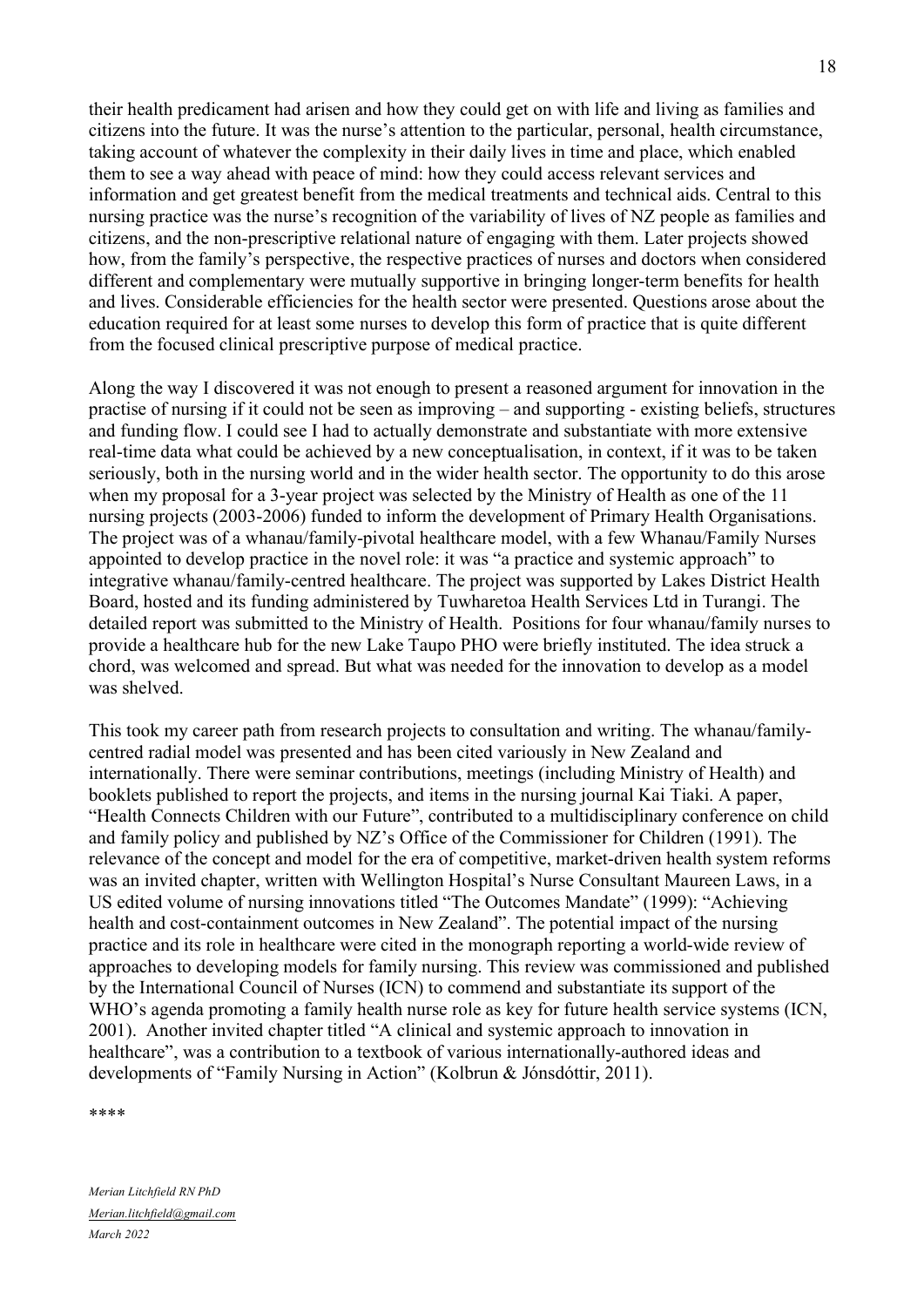their health predicament had arisen and how they could get on with life and living as families and citizens into the future. It was the nurse's attention to the particular, personal, health circumstance, taking account of whatever the complexity in their daily lives in time and place, which enabled them to see a way ahead with peace of mind: how they could access relevant services and information and get greatest benefit from the medical treatments and technical aids. Central to this nursing practice was the nurse's recognition of the variability of lives of NZ people as families and citizens, and the non-prescriptive relational nature of engaging with them. Later projects showed how, from the family's perspective, the respective practices of nurses and doctors when considered different and complementary were mutually supportive in bringing longer-term benefits for health and lives. Considerable efficiencies for the health sector were presented. Questions arose about the education required for at least some nurses to develop this form of practice that is quite different from the focused clinical prescriptive purpose of medical practice.

Along the way I discovered it was not enough to present a reasoned argument for innovation in the practise of nursing if it could not be seen as improving – and supporting - existing beliefs, structures and funding flow. I could see I had to actually demonstrate and substantiate with more extensive real-time data what could be achieved by a new conceptualisation, in context, if it was to be taken seriously, both in the nursing world and in the wider health sector. The opportunity to do this arose when my proposal for a 3-year project was selected by the Ministry of Health as one of the 11 nursing projects (2003-2006) funded to inform the development of Primary Health Organisations. The project was of a whanau/family-pivotal healthcare model, with a few Whanau/Family Nurses appointed to develop practice in the novel role: it was "a practice and systemic approach" to integrative whanau/family-centred healthcare. The project was supported by Lakes District Health Board, hosted and its funding administered by Tuwharetoa Health Services Ltd in Turangi. The detailed report was submitted to the Ministry of Health. Positions for four whanau/family nurses to provide a healthcare hub for the new Lake Taupo PHO were briefly instituted. The idea struck a chord, was welcomed and spread. But what was needed for the innovation to develop as a model was shelved.

This took my career path from research projects to consultation and writing. The whanau/familycentred radial model was presented and has been cited variously in New Zealand and internationally. There were seminar contributions, meetings (including Ministry of Health) and booklets published to report the projects, and items in the nursing journal Kai Tiaki. A paper, "Health Connects Children with our Future", contributed to a multidisciplinary conference on child and family policy and published by NZ's Office of the Commissioner for Children (1991). The relevance of the concept and model for the era of competitive, market-driven health system reforms was an invited chapter, written with Wellington Hospital's Nurse Consultant Maureen Laws, in a US edited volume of nursing innovations titled "The Outcomes Mandate" (1999): "Achieving health and cost-containment outcomes in New Zealand". The potential impact of the nursing practice and its role in healthcare were cited in the monograph reporting a world-wide review of approaches to developing models for family nursing. This review was commissioned and published by the International Council of Nurses (ICN) to commend and substantiate its support of the WHO's agenda promoting a family health nurse role as key for future health service systems (ICN, 2001). Another invited chapter titled "A clinical and systemic approach to innovation in healthcare", was a contribution to a textbook of various internationally-authored ideas and developments of "Family Nursing in Action" (Kolbrun & Jónsdóttir, 2011).

\*\*\*\*